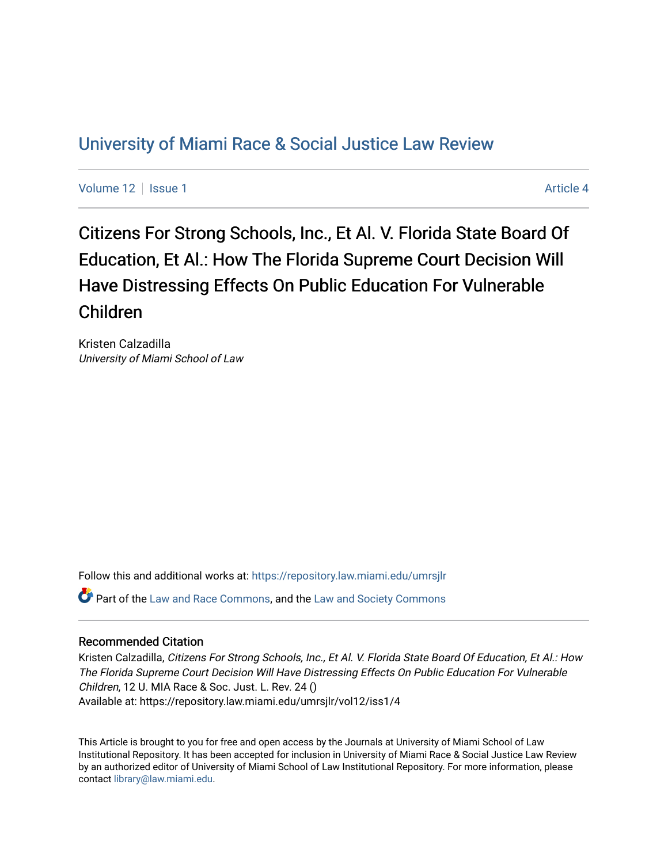## [University of Miami Race & Social Justice Law Review](https://repository.law.miami.edu/umrsjlr)

[Volume 12](https://repository.law.miami.edu/umrsjlr/vol12) Setup 1 [Article 4](https://repository.law.miami.edu/umrsjlr/vol12/iss1/4) Article 4

Citizens For Strong Schools, Inc., Et Al. V. Florida State Board Of Education, Et Al.: How The Florida Supreme Court Decision Will Have Distressing Effects On Public Education For Vulnerable Children

Kristen Calzadilla University of Miami School of Law

Follow this and additional works at: [https://repository.law.miami.edu/umrsjlr](https://repository.law.miami.edu/umrsjlr?utm_source=repository.law.miami.edu%2Fumrsjlr%2Fvol12%2Fiss1%2F4&utm_medium=PDF&utm_campaign=PDFCoverPages)

Part of the [Law and Race Commons,](http://network.bepress.com/hgg/discipline/1300?utm_source=repository.law.miami.edu%2Fumrsjlr%2Fvol12%2Fiss1%2F4&utm_medium=PDF&utm_campaign=PDFCoverPages) and the [Law and Society Commons](http://network.bepress.com/hgg/discipline/853?utm_source=repository.law.miami.edu%2Fumrsjlr%2Fvol12%2Fiss1%2F4&utm_medium=PDF&utm_campaign=PDFCoverPages) 

#### Recommended Citation

Kristen Calzadilla, Citizens For Strong Schools, Inc., Et Al. V. Florida State Board Of Education, Et Al.: How The Florida Supreme Court Decision Will Have Distressing Effects On Public Education For Vulnerable Children, 12 U. MIA Race & Soc. Just. L. Rev. 24 () Available at: https://repository.law.miami.edu/umrsjlr/vol12/iss1/4

This Article is brought to you for free and open access by the Journals at University of Miami School of Law Institutional Repository. It has been accepted for inclusion in University of Miami Race & Social Justice Law Review by an authorized editor of University of Miami School of Law Institutional Repository. For more information, please contact [library@law.miami.edu](mailto:library@law.miami.edu).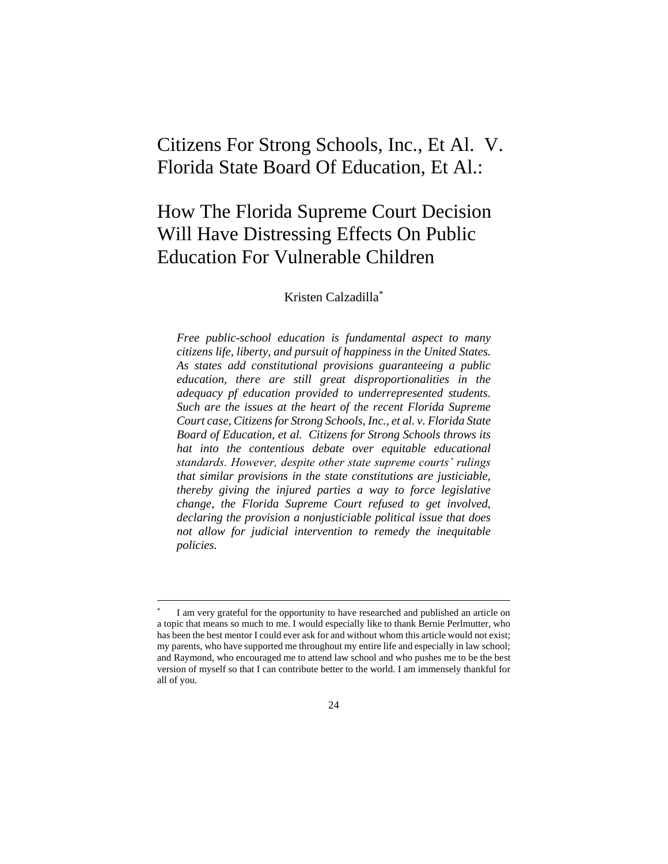## Citizens For Strong Schools, Inc., Et Al. V. Florida State Board Of Education, Et Al.:

# How The Florida Supreme Court Decision Will Have Distressing Effects On Public Education For Vulnerable Children

#### Kristen Calzadilla\*

*Free public-school education is fundamental aspect to many citizens life, liberty, and pursuit of happiness in the United States. As states add constitutional provisions guaranteeing a public education, there are still great disproportionalities in the adequacy pf education provided to underrepresented students. Such are the issues at the heart of the recent Florida Supreme Court case, Citizens for Strong Schools, Inc., et al. v. Florida State Board of Education, et al. Citizens for Strong Schools throws its hat into the contentious debate over equitable educational standards. However, despite other state supreme courts' rulings that similar provisions in the state constitutions are justiciable, thereby giving the injured parties a way to force legislative change, the Florida Supreme Court refused to get involved, declaring the provision a nonjusticiable political issue that does not allow for judicial intervention to remedy the inequitable policies.*

<sup>\*</sup> I am very grateful for the opportunity to have researched and published an article on a topic that means so much to me. I would especially like to thank Bernie Perlmutter, who has been the best mentor I could ever ask for and without whom this article would not exist; my parents, who have supported me throughout my entire life and especially in law school; and Raymond, who encouraged me to attend law school and who pushes me to be the best version of myself so that I can contribute better to the world. I am immensely thankful for all of you.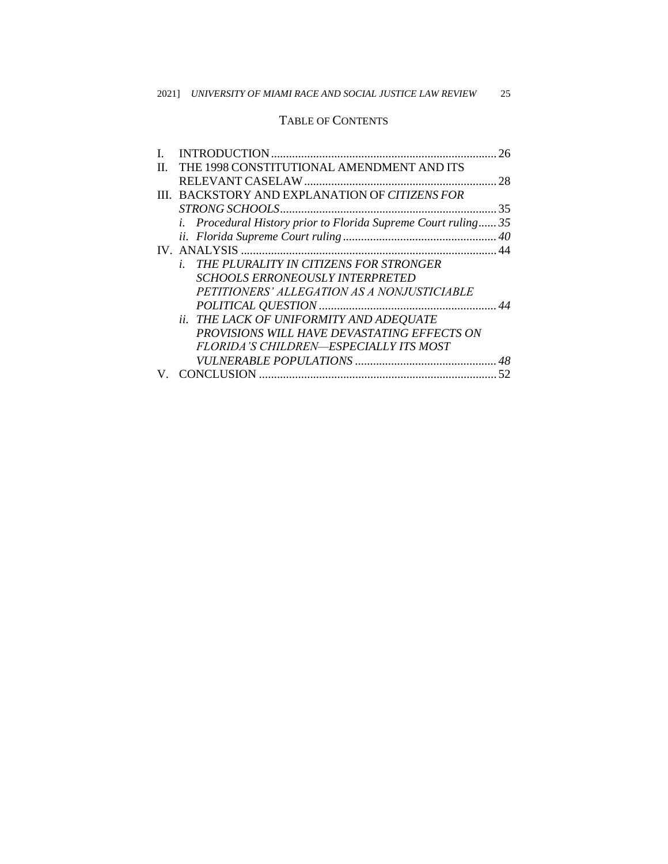### TABLE OF CONTENTS

|    |                                                                       | 26 |
|----|-----------------------------------------------------------------------|----|
| H. | THE 1998 CONSTITUTIONAL AMENDMENT AND ITS                             |    |
|    |                                                                       |    |
|    | III. BACKSTORY AND EXPLANATION OF CITIZENS FOR                        |    |
|    |                                                                       |    |
|    | <i>i.</i> Procedural History prior to Florida Supreme Court ruling 35 |    |
|    |                                                                       |    |
|    |                                                                       |    |
|    | THE PLURALITY IN CITIZENS FOR STRONGER<br>i.                          |    |
|    | <b>SCHOOLS ERRONEOUSLY INTERPRETED</b>                                |    |
|    | PETITIONERS' ALLEGATION AS A NONJUSTICIABLE                           |    |
|    |                                                                       |    |
|    | ii. THE LACK OF UNIFORMITY AND ADEQUATE                               |    |
|    | PROVISIONS WILL HAVE DEVASTATING EFFECTS ON                           |    |
|    | FLORIDA'S CHILDREN—ESPECIALLY ITS MOST                                |    |
|    |                                                                       |    |
|    |                                                                       |    |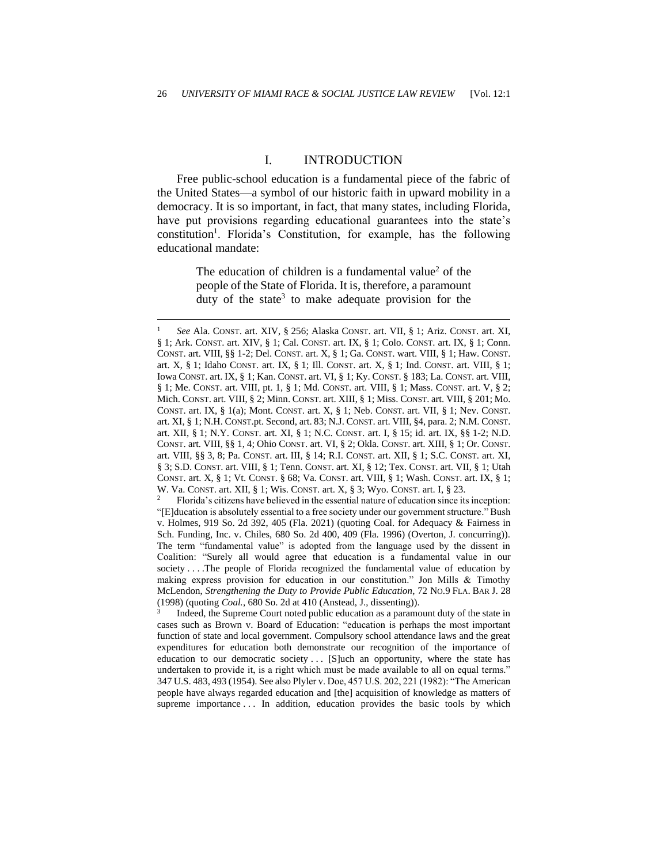#### I. INTRODUCTION

Free public-school education is a fundamental piece of the fabric of the United States—a symbol of our historic faith in upward mobility in a democracy. It is so important, in fact, that many states, including Florida, have put provisions regarding educational guarantees into the state's constitution<sup>1</sup>. Florida's Constitution, for example, has the following educational mandate:

> The education of children is a fundamental value<sup>2</sup> of the people of the State of Florida. It is, therefore, a paramount duty of the state<sup>3</sup> to make adequate provision for the

<sup>2</sup> Florida's citizens have believed in the essential nature of education since its inception: "[E]ducation is absolutely essential to a free society under our government structure." Bush v. Holmes, 919 So. 2d 392, 405 (Fla. 2021) (quoting Coal. for Adequacy & Fairness in Sch. Funding, Inc. v. Chiles, 680 So. 2d 400, 409 (Fla. 1996) (Overton, J. concurring)). The term "fundamental value" is adopted from the language used by the dissent in Coalition: "Surely all would agree that education is a fundamental value in our society . . . .The people of Florida recognized the fundamental value of education by making express provision for education in our constitution." Jon Mills & Timothy McLendon, *Strengthening the Duty to Provide Public Education*, 72 NO.9 FLA. BAR J. 28 (1998) (quoting *Coal.*, 680 So. 2d at 410 (Anstead, J., dissenting)).

3 Indeed, the Supreme Court noted public education as a paramount duty of the state in cases such as Brown v. Board of Education: "education is perhaps the most important function of state and local government. Compulsory school attendance laws and the great expenditures for education both demonstrate our recognition of the importance of education to our democratic society . . . [S]uch an opportunity, where the state has undertaken to provide it, is a right which must be made available to all on equal terms." 347 U.S. 483, 493 (1954). See also Plyler v. Doe, 457 U.S. 202, 221 (1982): "The American people have always regarded education and [the] acquisition of knowledge as matters of supreme importance ... In addition, education provides the basic tools by which

<sup>1</sup> *See* Ala. CONST. art. XIV, § 256; Alaska CONST. art. VII, § 1; Ariz. CONST. art. XI, § 1; Ark. CONST. art. XIV, § 1; Cal. CONST. art. IX, § 1; Colo. CONST. art. IX, § 1; Conn. CONST. art. VIII, §§ 1-2; Del. CONST. art. X, § 1; Ga. CONST. wart. VIII, § 1; Haw. CONST. art. X, § 1; Idaho CONST. art. IX, § 1; Ill. CONST. art. X, § 1; Ind. CONST. art. VIII, § 1; Iowa CONST. art. IX, § 1; Kan. CONST. art. VI, § 1; Ky. CONST. § 183; La. CONST. art. VIII, § 1; Me. CONST. art. VIII, pt. 1, § 1; Md. CONST. art. VIII, § 1; Mass. CONST. art. V, § 2; Mich. CONST. art. VIII, § 2; Minn. CONST. art. XIII, § 1; Miss. CONST. art. VIII, § 201; Mo. CONST. art. IX, § 1(a); Mont. CONST. art. X, § 1; Neb. CONST. art. VII, § 1; Nev. CONST. art. XI, § 1; N.H. CONST.pt. Second, art. 83; N.J. CONST. art. VIII, §4, para. 2; N.M. CONST. art. XII, § 1; N.Y. CONST. art. XI, § 1; N.C. CONST. art. I, § 15; id. art. IX, §§ 1-2; N.D. CONST. art. VIII, §§ 1, 4; Ohio CONST. art. VI, § 2; Okla. CONST. art. XIII, § 1; Or. CONST. art. VIII, §§ 3, 8; Pa. CONST. art. III, § 14; R.I. CONST. art. XII, § 1; S.C. CONST. art. XI, § 3; S.D. CONST. art. VIII, § 1; Tenn. CONST. art. XI, § 12; Tex. CONST. art. VII, § 1; Utah CONST. art. X, § 1; Vt. CONST. § 68; Va. CONST. art. VIII, § 1; Wash. CONST. art. IX, § 1; W. Va. CONST. art. XII, § 1; Wis. CONST. art. X, § 3; Wyo. CONST. art. I, § 23.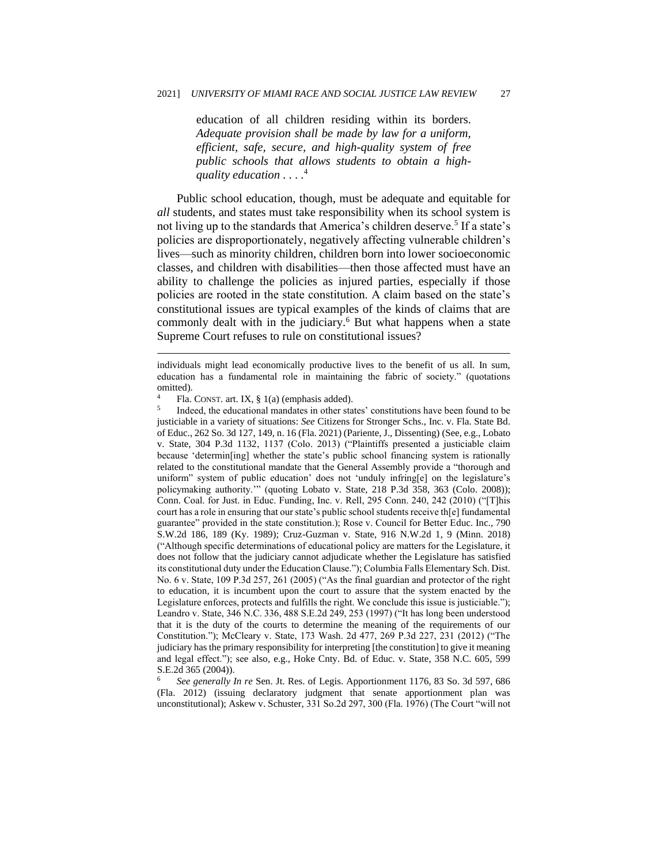education of all children residing within its borders. *Adequate provision shall be made by law for a uniform, efficient, safe, secure, and high-quality system of free public schools that allows students to obtain a highquality education . . . .* 4

Public school education, though, must be adequate and equitable for *all* students, and states must take responsibility when its school system is not living up to the standards that America's children deserve.<sup>5</sup> If a state's policies are disproportionately, negatively affecting vulnerable children's lives—such as minority children, children born into lower socioeconomic classes, and children with disabilities—then those affected must have an ability to challenge the policies as injured parties, especially if those policies are rooted in the state constitution. A claim based on the state's constitutional issues are typical examples of the kinds of claims that are commonly dealt with in the judiciary.<sup>6</sup> But what happens when a state Supreme Court refuses to rule on constitutional issues?

<sup>6</sup> *See generally In re* Sen. Jt. Res. of Legis. Apportionment 1176, 83 So. 3d 597, 686 (Fla. 2012) (issuing declaratory judgment that senate apportionment plan was unconstitutional); Askew v. Schuster, 331 So.2d 297, 300 (Fla. 1976) (The Court "will not

individuals might lead economically productive lives to the benefit of us all. In sum, education has a fundamental role in maintaining the fabric of society." (quotations omitted).

Fla. CONST. art. IX, § 1(a) (emphasis added).

<sup>5</sup> Indeed, the educational mandates in other states' constitutions have been found to be justiciable in a variety of situations: *See* Citizens for Stronger Schs., Inc. v. Fla. State Bd. of Educ., 262 So. 3d 127, 149, n. 16 (Fla. 2021) (Pariente, J., Dissenting) (See, e.g., Lobato v. State, 304 P.3d 1132, 1137 (Colo. 2013) ("Plaintiffs presented a justiciable claim because 'determin[ing] whether the state's public school financing system is rationally related to the constitutional mandate that the General Assembly provide a "thorough and uniform" system of public education' does not 'unduly infring[e] on the legislature's policymaking authority.'" (quoting Lobato v. State, 218 P.3d 358, 363 (Colo. 2008)); Conn. Coal. for Just. in Educ. Funding, Inc. v. Rell, 295 Conn. 240, 242 (2010) ("[T]his court has a role in ensuring that our state's public school students receive th[e] fundamental guarantee" provided in the state constitution.); Rose v. Council for Better Educ. Inc., 790 S.W.2d 186, 189 (Ky. 1989); Cruz-Guzman v. State, 916 N.W.2d 1, 9 (Minn. 2018) ("Although specific determinations of educational policy are matters for the Legislature, it does not follow that the judiciary cannot adjudicate whether the Legislature has satisfied its constitutional duty under the Education Clause."); Columbia Falls Elementary Sch. Dist. No. 6 v. State, 109 P.3d 257, 261 (2005) ("As the final guardian and protector of the right to education, it is incumbent upon the court to assure that the system enacted by the Legislature enforces, protects and fulfills the right. We conclude this issue is justiciable."); Leandro v. State, 346 N.C. 336, 488 S.E.2d 249, 253 (1997) ("It has long been understood that it is the duty of the courts to determine the meaning of the requirements of our Constitution."); McCleary v. State, 173 Wash. 2d 477, 269 P.3d 227, 231 (2012) ("The judiciary has the primary responsibility for interpreting [the constitution] to give it meaning and legal effect."); see also, e.g., Hoke Cnty. Bd. of Educ. v. State, 358 N.C. 605, 599 S.E.2d 365 (2004)).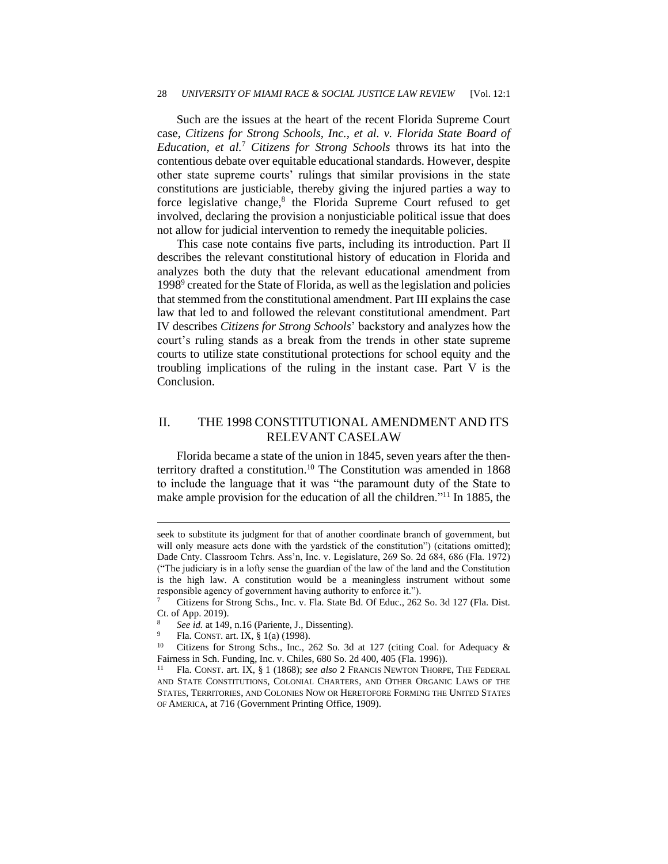#### 28 *UNIVERSITY OF MIAMI RACE & SOCIAL JUSTICE LAW REVIEW* [Vol. 12:1

Such are the issues at the heart of the recent Florida Supreme Court case, *Citizens for Strong Schools, Inc., et al. v. Florida State Board of Education, et al.*<sup>7</sup> *Citizens for Strong Schools* throws its hat into the contentious debate over equitable educational standards. However, despite other state supreme courts' rulings that similar provisions in the state constitutions are justiciable, thereby giving the injured parties a way to force legislative change,<sup>8</sup> the Florida Supreme Court refused to get involved, declaring the provision a nonjusticiable political issue that does not allow for judicial intervention to remedy the inequitable policies.

This case note contains five parts, including its introduction. Part II describes the relevant constitutional history of education in Florida and analyzes both the duty that the relevant educational amendment from 1998<sup>9</sup> created for the State of Florida, as well as the legislation and policies that stemmed from the constitutional amendment. Part III explains the case law that led to and followed the relevant constitutional amendment. Part IV describes *Citizens for Strong Schools*' backstory and analyzes how the court's ruling stands as a break from the trends in other state supreme courts to utilize state constitutional protections for school equity and the troubling implications of the ruling in the instant case. Part V is the Conclusion.

### II. THE 1998 CONSTITUTIONAL AMENDMENT AND ITS RELEVANT CASELAW

Florida became a state of the union in 1845, seven years after the thenterritory drafted a constitution.<sup>10</sup> The Constitution was amended in 1868 to include the language that it was "the paramount duty of the State to make ample provision for the education of all the children."<sup>11</sup> In 1885, the

seek to substitute its judgment for that of another coordinate branch of government, but will only measure acts done with the yardstick of the constitution") (citations omitted); Dade Cnty. Classroom Tchrs. Ass'n, Inc. v. Legislature, 269 So. 2d 684, 686 (Fla. 1972) ("The judiciary is in a lofty sense the guardian of the law of the land and the Constitution is the high law. A constitution would be a meaningless instrument without some responsible agency of government having authority to enforce it.").

<sup>7</sup> Citizens for Strong Schs., Inc. v. Fla. State Bd. Of Educ., 262 So. 3d 127 (Fla. Dist. Ct. of App. 2019).

See id. at 149, n.16 (Pariente, J., Dissenting).

<sup>9</sup> Fla. CONST. art. IX, § 1(a) (1998).

Citizens for Strong Schs., Inc., 262 So. 3d at 127 (citing Coal. for Adequacy & Fairness in Sch. Funding, Inc. v. Chiles, 680 So. 2d 400, 405 (Fla. 1996)).

<sup>11</sup> Fla. CONST. art. IX, § 1 (1868); *see also* 2 FRANCIS NEWTON THORPE, THE FEDERAL AND STATE CONSTITUTIONS, COLONIAL CHARTERS, AND OTHER ORGANIC LAWS OF THE STATES, TERRITORIES, AND COLONIES NOW OR HERETOFORE FORMING THE UNITED STATES OF AMERICA, at 716 (Government Printing Office, 1909).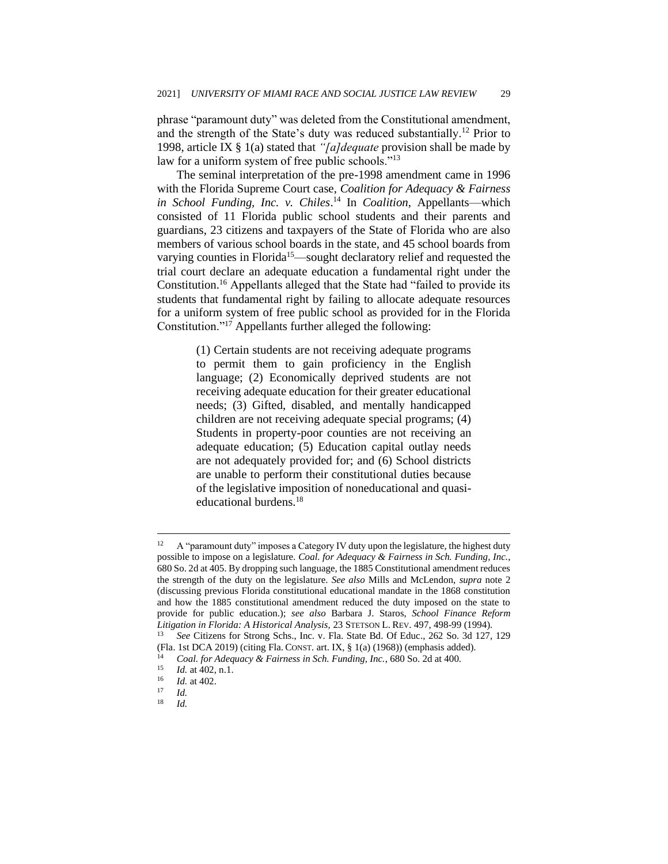phrase "paramount duty" was deleted from the Constitutional amendment, and the strength of the State's duty was reduced substantially.<sup>12</sup> Prior to 1998, article IX § 1(a) stated that *"[a]dequate* provision shall be made by law for a uniform system of free public schools."<sup>13</sup>

The seminal interpretation of the pre-1998 amendment came in 1996 with the Florida Supreme Court case, *Coalition for Adequacy & Fairness in School Funding, Inc. v. Chiles*. <sup>14</sup> In *Coalition*, Appellants—which consisted of 11 Florida public school students and their parents and guardians, 23 citizens and taxpayers of the State of Florida who are also members of various school boards in the state, and 45 school boards from varying counties in Florida<sup>15</sup>—sought declaratory relief and requested the trial court declare an adequate education a fundamental right under the Constitution.<sup>16</sup> Appellants alleged that the State had "failed to provide its students that fundamental right by failing to allocate adequate resources for a uniform system of free public school as provided for in the Florida Constitution."<sup>17</sup> Appellants further alleged the following:

> (1) Certain students are not receiving adequate programs to permit them to gain proficiency in the English language; (2) Economically deprived students are not receiving adequate education for their greater educational needs; (3) Gifted, disabled, and mentally handicapped children are not receiving adequate special programs; (4) Students in property-poor counties are not receiving an adequate education; (5) Education capital outlay needs are not adequately provided for; and (6) School districts are unable to perform their constitutional duties because of the legislative imposition of noneducational and quasieducational burdens.<sup>18</sup>

A "paramount duty" imposes a Category IV duty upon the legislature, the highest duty possible to impose on a legislature. *Coal. for Adequacy & Fairness in Sch. Funding, Inc.*, 680 So. 2d at 405. By dropping such language, the 1885 Constitutional amendment reduces the strength of the duty on the legislature. *See also* Mills and McLendon, *supra* note 2 (discussing previous Florida constitutional educational mandate in the 1868 constitution and how the 1885 constitutional amendment reduced the duty imposed on the state to provide for public education.); *see also* Barbara J. Staros, *School Finance Reform Litigation in Florida: A Historical Analysis,* 23 STETSON L. REV. 497, 498-99 (1994). <sup>13</sup> *See* Citizens for Strong Schs., Inc. v. Fla. State Bd. Of Educ., 262 So. 3d 127, 129

<sup>(</sup>Fla. 1st DCA 2019) (citing Fla. CONST. art. IX, § 1(a) (1968)) (emphasis added).

<sup>&</sup>lt;sup>14</sup> *Coal. for Adequacy & Fairness in Sch. Funding, Inc.*, 680 So. 2d at 400.<br><sup>15</sup> *Id at 402 n 1* 

 $\frac{15}{16}$  *Id.* at 402, n.1.

 $\frac{16}{17}$  *Id.* at 402.

 $\frac{17}{18}$  *Id.* 

<sup>18</sup> *Id.*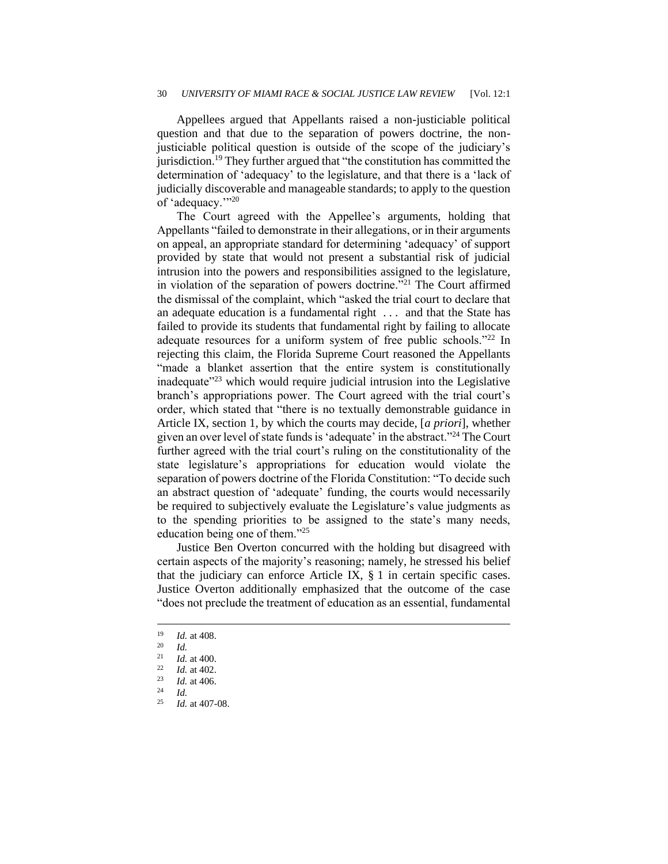Appellees argued that Appellants raised a non-justiciable political question and that due to the separation of powers doctrine, the nonjusticiable political question is outside of the scope of the judiciary's jurisdiction.<sup>19</sup> They further argued that "the constitution has committed the determination of 'adequacy' to the legislature, and that there is a 'lack of judicially discoverable and manageable standards; to apply to the question of 'adequacy.'"<sup>20</sup>

The Court agreed with the Appellee's arguments, holding that Appellants "failed to demonstrate in their allegations, or in their arguments on appeal, an appropriate standard for determining 'adequacy' of support provided by state that would not present a substantial risk of judicial intrusion into the powers and responsibilities assigned to the legislature, in violation of the separation of powers doctrine."<sup>21</sup> The Court affirmed the dismissal of the complaint, which "asked the trial court to declare that an adequate education is a fundamental right . . . and that the State has failed to provide its students that fundamental right by failing to allocate adequate resources for a uniform system of free public schools."<sup>22</sup> In rejecting this claim, the Florida Supreme Court reasoned the Appellants "made a blanket assertion that the entire system is constitutionally inadequate $123$  which would require judicial intrusion into the Legislative branch's appropriations power. The Court agreed with the trial court's order, which stated that "there is no textually demonstrable guidance in Article IX, section 1, by which the courts may decide, [*a priori*], whether given an over level of state funds is 'adequate' in the abstract."<sup>24</sup> The Court further agreed with the trial court's ruling on the constitutionality of the state legislature's appropriations for education would violate the separation of powers doctrine of the Florida Constitution: "To decide such an abstract question of 'adequate' funding, the courts would necessarily be required to subjectively evaluate the Legislature's value judgments as to the spending priorities to be assigned to the state's many needs, education being one of them."<sup>25</sup>

Justice Ben Overton concurred with the holding but disagreed with certain aspects of the majority's reasoning; namely, he stressed his belief that the judiciary can enforce Article IX, § 1 in certain specific cases. Justice Overton additionally emphasized that the outcome of the case "does not preclude the treatment of education as an essential, fundamental

 $\frac{19}{20}$  *Id.* at 408.

 $\frac{20}{21}$  *Id.* 

 $\frac{21}{22}$  *Id.* at 400.

 $\frac{22}{23}$  *Id.* at 402.

*Id.* at 406.

 $\frac{24}{25}$  *Id.* 

*Id.* at 407-08.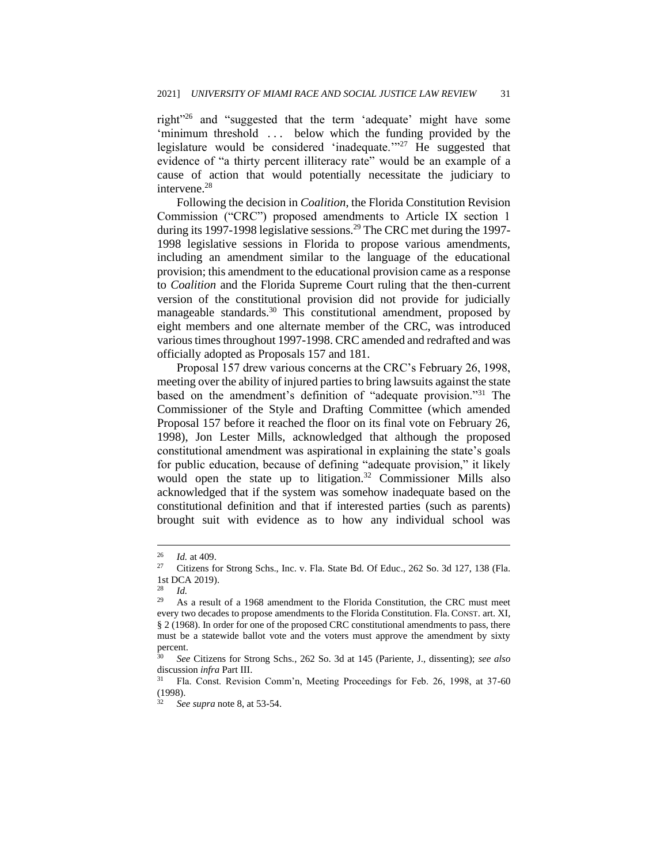right"<sup>26</sup> and "suggested that the term 'adequate' might have some 'minimum threshold ... below which the funding provided by the legislature would be considered 'inadequate."<sup>27</sup> He suggested that evidence of "a thirty percent illiteracy rate" would be an example of a cause of action that would potentially necessitate the judiciary to intervene.<sup>28</sup>

Following the decision in *Coalition*, the Florida Constitution Revision Commission ("CRC") proposed amendments to Article IX section 1 during its 1997-1998 legislative sessions.<sup>29</sup> The CRC met during the 1997-1998 legislative sessions in Florida to propose various amendments, including an amendment similar to the language of the educational provision; this amendment to the educational provision came as a response to *Coalition* and the Florida Supreme Court ruling that the then-current version of the constitutional provision did not provide for judicially manageable standards.<sup>30</sup> This constitutional amendment, proposed by eight members and one alternate member of the CRC, was introduced various times throughout 1997-1998. CRC amended and redrafted and was officially adopted as Proposals 157 and 181.

Proposal 157 drew various concerns at the CRC's February 26, 1998, meeting over the ability of injured parties to bring lawsuits against the state based on the amendment's definition of "adequate provision."<sup>31</sup> The Commissioner of the Style and Drafting Committee (which amended Proposal 157 before it reached the floor on its final vote on February 26, 1998), Jon Lester Mills, acknowledged that although the proposed constitutional amendment was aspirational in explaining the state's goals for public education, because of defining "adequate provision," it likely would open the state up to litigation.<sup>32</sup> Commissioner Mills also acknowledged that if the system was somehow inadequate based on the constitutional definition and that if interested parties (such as parents) brought suit with evidence as to how any individual school was

 $\frac{26}{27}$  *Id.* at 409.

<sup>27</sup> Citizens for Strong Schs., Inc. v. Fla. State Bd. Of Educ., 262 So. 3d 127, 138 (Fla. 1st DCA 2019).

 $\frac{28}{29}$  *Id.* 

As a result of a 1968 amendment to the Florida Constitution, the CRC must meet every two decades to propose amendments to the Florida Constitution. Fla. CONST. art. XI, § 2 (1968). In order for one of the proposed CRC constitutional amendments to pass, there must be a statewide ballot vote and the voters must approve the amendment by sixty percent.

<sup>30</sup> *See* Citizens for Strong Schs*.*, 262 So. 3d at 145 (Pariente, J., dissenting); *see also* discussion *infra* Part III.

<sup>31</sup> Fla. Const. Revision Comm'n, Meeting Proceedings for Feb. 26, 1998, at 37-60 (1998).

<sup>32</sup> *See supra* note 8, at 53-54.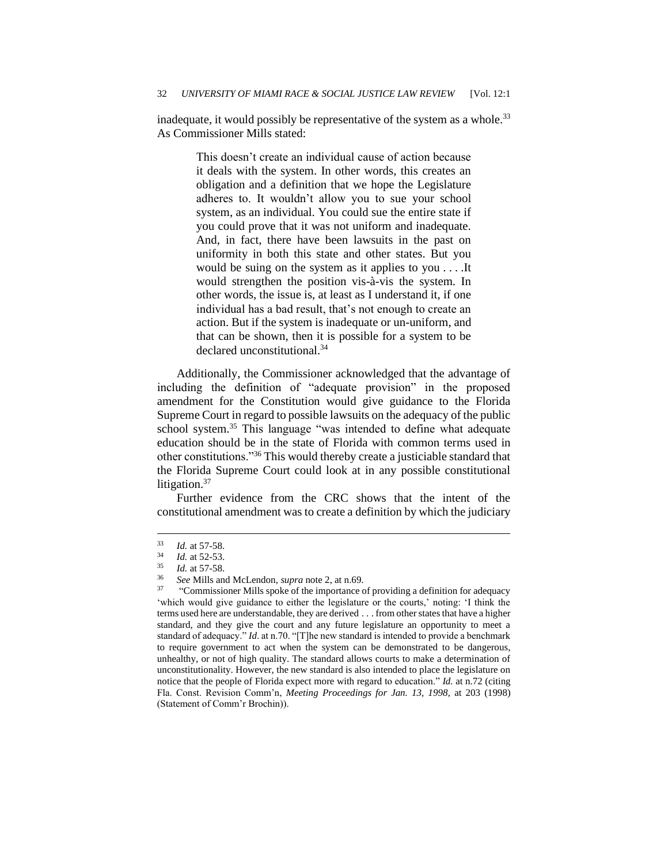inadequate, it would possibly be representative of the system as a whole.<sup>33</sup> As Commissioner Mills stated:

> This doesn't create an individual cause of action because it deals with the system. In other words, this creates an obligation and a definition that we hope the Legislature adheres to. It wouldn't allow you to sue your school system, as an individual. You could sue the entire state if you could prove that it was not uniform and inadequate. And, in fact, there have been lawsuits in the past on uniformity in both this state and other states. But you would be suing on the system as it applies to you . . . .It would strengthen the position vis-à-vis the system. In other words, the issue is, at least as I understand it, if one individual has a bad result, that's not enough to create an action. But if the system is inadequate or un-uniform, and that can be shown, then it is possible for a system to be declared unconstitutional.<sup>34</sup>

Additionally, the Commissioner acknowledged that the advantage of including the definition of "adequate provision" in the proposed amendment for the Constitution would give guidance to the Florida Supreme Court in regard to possible lawsuits on the adequacy of the public school system.<sup>35</sup> This language "was intended to define what adequate education should be in the state of Florida with common terms used in other constitutions."<sup>36</sup> This would thereby create a justiciable standard that the Florida Supreme Court could look at in any possible constitutional litigation.<sup>37</sup>

Further evidence from the CRC shows that the intent of the constitutional amendment was to create a definition by which the judiciary

 $\frac{33}{34}$  *Id.* at 57-58.

 $\frac{34}{35}$  *Id.* at 52-53.

 $\frac{35}{36}$  *Id.* at 57-58.

<sup>36</sup> *See* Mills and McLendon, *supra* note 2, at n.69.

<sup>37</sup> "Commissioner Mills spoke of the importance of providing a definition for adequacy 'which would give guidance to either the legislature or the courts,' noting: 'I think the terms used here are understandable, they are derived . . . from other states that have a higher standard, and they give the court and any future legislature an opportunity to meet a standard of adequacy." *Id*. at n.70. "[T]he new standard is intended to provide a benchmark to require government to act when the system can be demonstrated to be dangerous, unhealthy, or not of high quality. The standard allows courts to make a determination of unconstitutionality. However, the new standard is also intended to place the legislature on notice that the people of Florida expect more with regard to education." *Id.* at n.72 (citing Fla. Const. Revision Comm'n, *Meeting Proceedings for Jan. 13, 1998*, at 203 (1998) (Statement of Comm'r Brochin)).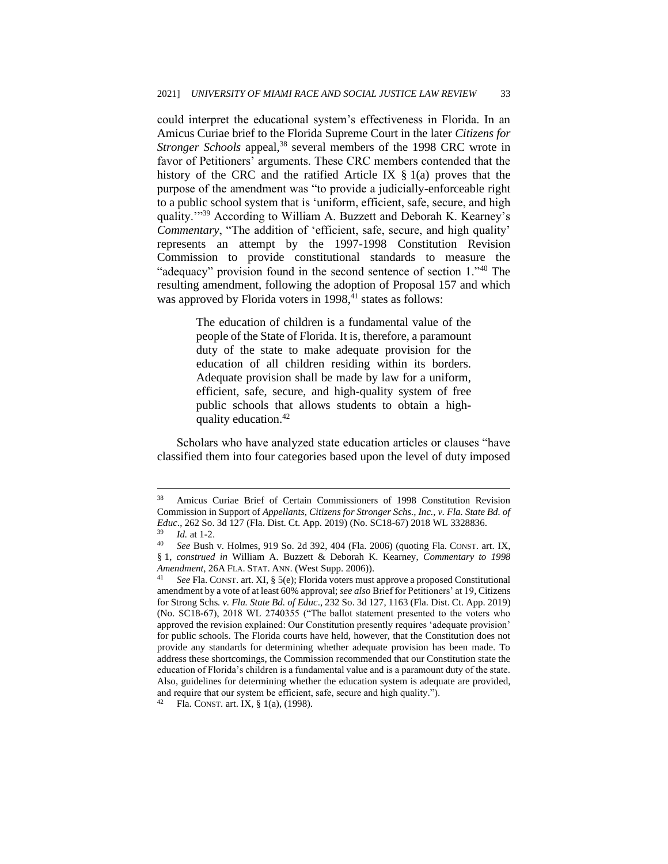could interpret the educational system's effectiveness in Florida. In an Amicus Curiae brief to the Florida Supreme Court in the later *Citizens for Stronger Schools appeal*,<sup>38</sup> several members of the 1998 CRC wrote in favor of Petitioners' arguments. These CRC members contended that the history of the CRC and the ratified Article IX § 1(a) proves that the purpose of the amendment was "to provide a judicially-enforceable right to a public school system that is 'uniform, efficient, safe, secure, and high quality."<sup>39</sup> According to William A. Buzzett and Deborah K. Kearney's *Commentary*, "The addition of 'efficient, safe, secure, and high quality' represents an attempt by the 1997-1998 Constitution Revision Commission to provide constitutional standards to measure the "adequacy" provision found in the second sentence of section 1."40 The resulting amendment, following the adoption of Proposal 157 and which was approved by Florida voters in  $1998,41$  states as follows:

> The education of children is a fundamental value of the people of the State of Florida. It is, therefore, a paramount duty of the state to make adequate provision for the education of all children residing within its borders. Adequate provision shall be made by law for a uniform, efficient, safe, secure, and high-quality system of free public schools that allows students to obtain a highquality education.<sup>42</sup>

Scholars who have analyzed state education articles or clauses "have classified them into four categories based upon the level of duty imposed

<sup>38</sup> Amicus Curiae Brief of Certain Commissioners of 1998 Constitution Revision Commission in Support of *Appellants, Citizens for Stronger Schs., Inc., v. Fla. State Bd. of Educ*., 262 So. 3d 127 (Fla. Dist. Ct. App. 2019) (No. SC18-67) 2018 WL 3328836.  $\frac{39}{40}$  *Id.* at 1-2.

<sup>40</sup> *See* Bush v. Holmes*,* 919 So. 2d 392, 404 (Fla. 2006) (quoting Fla. CONST. art. IX, § 1, *construed in* William A. Buzzett & Deborah K. Kearney, *Commentary to 1998 Amendment*, 26A FLA. STAT. ANN. (West Supp. 2006)).

See Fla. CONST. art. XI, § 5(e); Florida voters must approve a proposed Constitutional amendment by a vote of at least 60% approval; *see also* Brief for Petitioners' at 19*,* Citizens for Strong Schs*. v. Fla. State Bd. of Educ*., 232 So. 3d 127, 1163 (Fla. Dist. Ct. App. 2019) (No. SC18-67), 2018 WL 2740355 ("The ballot statement presented to the voters who approved the revision explained: Our Constitution presently requires 'adequate provision' for public schools. The Florida courts have held, however, that the Constitution does not provide any standards for determining whether adequate provision has been made. To address these shortcomings, the Commission recommended that our Constitution state the education of Florida's children is a fundamental value and is a paramount duty of the state. Also, guidelines for determining whether the education system is adequate are provided, and require that our system be efficient, safe, secure and high quality.").

<sup>42</sup> Fla. CONST. art. IX, § 1(a), (1998).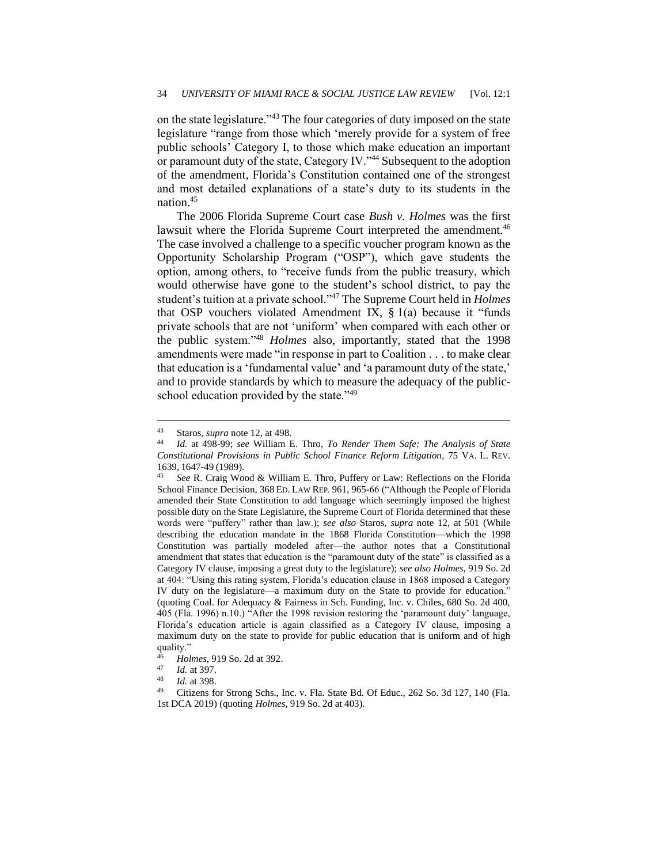on the state legislature."<sup>43</sup> The four categories of duty imposed on the state legislature "range from those which 'merely provide for a system of free public schools' Category I, to those which make education an important or paramount duty of the state, Category IV."<sup>44</sup> Subsequent to the adoption of the amendment, Florida's Constitution contained one of the strongest and most detailed explanations of a state's duty to its students in the nation.<sup>45</sup>

The 2006 Florida Supreme Court case *Bush v. Holmes* was the first lawsuit where the Florida Supreme Court interpreted the amendment.<sup>46</sup> The case involved a challenge to a specific voucher program known as the Opportunity Scholarship Program ("OSP"), which gave students the option, among others, to "receive funds from the public treasury, which would otherwise have gone to the student's school district, to pay the student's tuition at a private school."<sup>47</sup> The Supreme Court held in *Holmes* that OSP vouchers violated Amendment IX, § 1(a) because it "funds private schools that are not 'uniform' when compared with each other or the public system."<sup>48</sup> *Holmes* also, importantly, stated that the 1998 amendments were made "in response in part to Coalition *. . .* to make clear that education is a 'fundamental value' and 'a paramount duty of the state,' and to provide standards by which to measure the adequacy of the publicschool education provided by the state."<sup>49</sup>

<sup>43</sup> Staros, *supra* note 12, at 498.

<sup>44</sup> *Id.* at 498-99; *see* William E. Thro, *To Render Them Safe: The Analysis of State Constitutional Provisions in Public School Finance Reform Litigation*, 75 VA. L. REV. 1639, 1647-49 (1989).

<sup>45</sup> *See* R. Craig Wood & William E. Thro, Puffery or Law: Reflections on the Florida School Finance Decision, 368 ED. LAW REP. 961, 965-66 ("Although the People of Florida amended their State Constitution to add language which seemingly imposed the highest possible duty on the State Legislature, the Supreme Court of Florida determined that these words were "puffery" rather than law.); *see also* Staros, *supra* note 12, at 501 (While describing the education mandate in the 1868 Florida Constitution—which the 1998 Constitution was partially modeled after—the author notes that a Constitutional amendment that states that education is the "paramount duty of the state" is classified as a Category IV clause, imposing a great duty to the legislature); *see also Holmes*, 919 So. 2d at 404: "Using this rating system, Florida's education clause in 1868 imposed a Category IV duty on the legislature—a maximum duty on the State to provide for education." (quoting Coal. for Adequacy & Fairness in Sch. Funding, Inc. v. Chiles, 680 So. 2d 400, 405 (Fla. 1996) n.10.) "After the 1998 revision restoring the 'paramount duty' language, Florida's education article is again classified as a Category IV clause, imposing a maximum duty on the state to provide for public education that is uniform and of high quality."

<sup>46</sup> *Holmes*, 919 So. 2d at 392.

 $\frac{47}{48}$  *Id.* at 397.

*Id.* at 398.

<sup>49</sup> Citizens for Strong Schs., Inc. v. Fla. State Bd. Of Educ., 262 So. 3d 127, 140 (Fla. 1st DCA 2019) (quoting *Holmes*, 919 So. 2d at 403).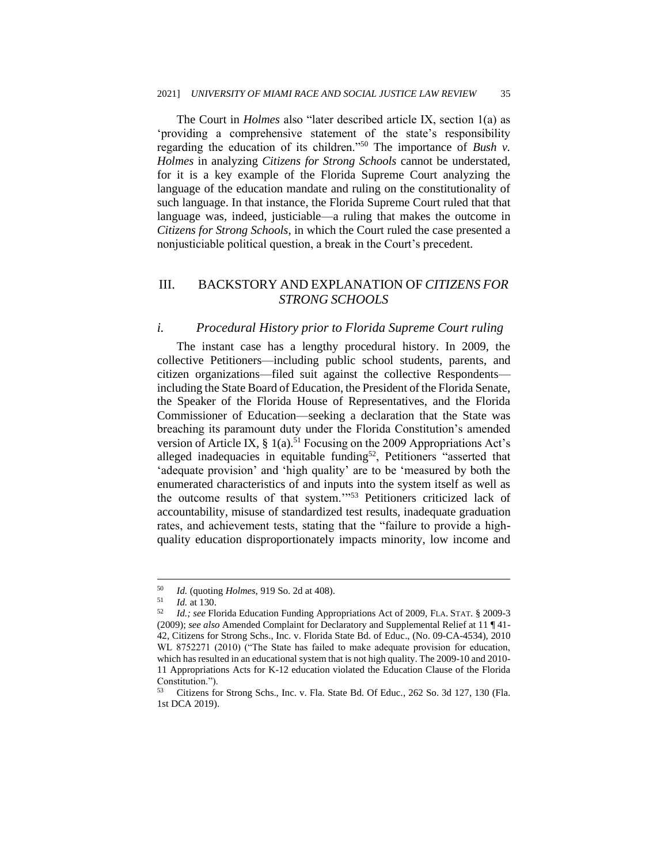The Court in *Holmes* also "later described article IX, section 1(a) as 'providing a comprehensive statement of the state's responsibility regarding the education of its children."<sup>50</sup> The importance of *Bush v. Holmes* in analyzing *Citizens for Strong Schools* cannot be understated, for it is a key example of the Florida Supreme Court analyzing the language of the education mandate and ruling on the constitutionality of such language. In that instance, the Florida Supreme Court ruled that that language was, indeed, justiciable—a ruling that makes the outcome in *Citizens for Strong Schools*, in which the Court ruled the case presented a nonjusticiable political question, a break in the Court's precedent.

#### III. BACKSTORY AND EXPLANATION OF *CITIZENS FOR STRONG SCHOOLS*

#### *i. Procedural History prior to Florida Supreme Court ruling*

The instant case has a lengthy procedural history. In 2009, the collective Petitioners—including public school students, parents, and citizen organizations—filed suit against the collective Respondents including the State Board of Education, the President of the Florida Senate, the Speaker of the Florida House of Representatives, and the Florida Commissioner of Education—seeking a declaration that the State was breaching its paramount duty under the Florida Constitution's amended version of Article IX,  $\S$  1(a).<sup>51</sup> Focusing on the 2009 Appropriations Act's alleged inadequacies in equitable funding<sup>52</sup>, Petitioners "asserted that 'adequate provision' and 'high quality' are to be 'measured by both the enumerated characteristics of and inputs into the system itself as well as the outcome results of that system.'"<sup>53</sup> Petitioners criticized lack of accountability, misuse of standardized test results, inadequate graduation rates, and achievement tests, stating that the "failure to provide a highquality education disproportionately impacts minority, low income and

<sup>50</sup> *Id.* (quoting *Holmes*, 919 So. 2d at 408).

 $\frac{51}{52}$  *Id.* at 130.

<sup>52</sup> *Id.; see* Florida Education Funding Appropriations Act of 2009, FLA. STAT. § 2009-3 (2009); *see also* Amended Complaint for Declaratory and Supplemental Relief at 11 ¶ 41- 42, Citizens for Strong Schs., Inc. v. Florida State Bd. of Educ., (No. 09-CA-4534), 2010 WL 8752271 (2010) ("The State has failed to make adequate provision for education, which has resulted in an educational system that is not high quality. The 2009-10 and 2010- 11 Appropriations Acts for K-12 education violated the Education Clause of the Florida Constitution.").

<sup>53</sup> Citizens for Strong Schs., Inc. v. Fla. State Bd. Of Educ*.*, 262 So. 3d 127, 130 (Fla. 1st DCA 2019).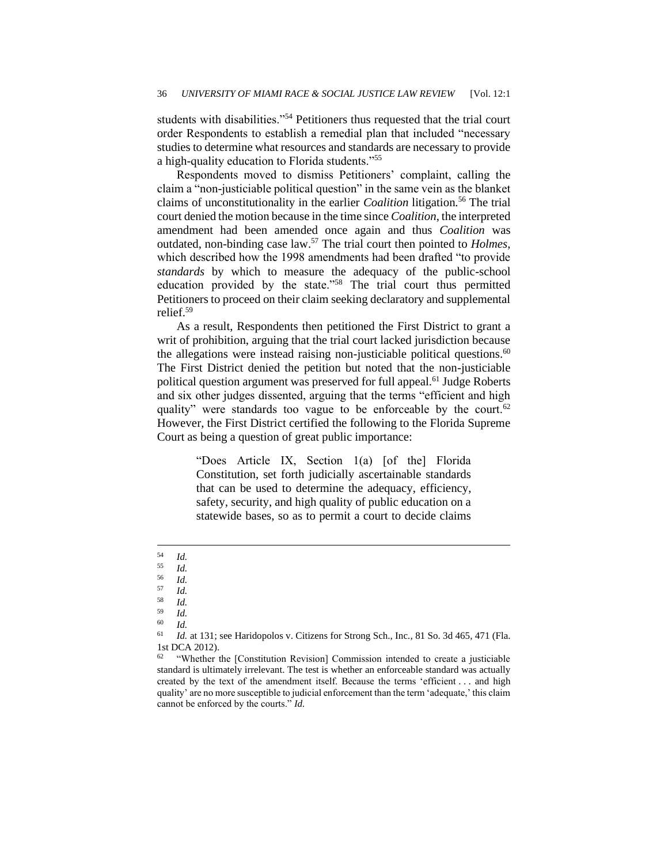students with disabilities."<sup>54</sup> Petitioners thus requested that the trial court order Respondents to establish a remedial plan that included "necessary studies to determine what resources and standards are necessary to provide a high-quality education to Florida students."<sup>55</sup>

Respondents moved to dismiss Petitioners' complaint, calling the claim a "non-justiciable political question" in the same vein as the blanket claims of unconstitutionality in the earlier *Coalition* litigation*.* <sup>56</sup> The trial court denied the motion because in the time since *Coalition*, the interpreted amendment had been amended once again and thus *Coalition* was outdated, non-binding case law.<sup>57</sup> The trial court then pointed to *Holmes*, which described how the 1998 amendments had been drafted "to provide *standards* by which to measure the adequacy of the public-school education provided by the state."<sup>58</sup> The trial court thus permitted Petitioners to proceed on their claim seeking declaratory and supplemental relief.<sup>59</sup>

As a result, Respondents then petitioned the First District to grant a writ of prohibition, arguing that the trial court lacked jurisdiction because the allegations were instead raising non-justiciable political questions.<sup>60</sup> The First District denied the petition but noted that the non-justiciable political question argument was preserved for full appeal.<sup>61</sup> Judge Roberts and six other judges dissented, arguing that the terms "efficient and high quality" were standards too vague to be enforceable by the court.<sup>62</sup> However, the First District certified the following to the Florida Supreme Court as being a question of great public importance:

> "Does Article IX, Section 1(a) [of the] Florida Constitution, set forth judicially ascertainable standards that can be used to determine the adequacy, efficiency, safety, security, and high quality of public education on a statewide bases, so as to permit a court to decide claims

 $\frac{54}{55}$  *Id.* 

 $\frac{55}{56}$  *Id.* 

 $\frac{56}{57}$  *Id.* 

 $\frac{57}{58}$  *Id.* 

 $\frac{58}{59}$  *Id.* 

 $\frac{59}{60}$  *Id.* 

 $\begin{array}{cc} 60 & Id. \\ 61 & I. \end{array}$ 

<sup>61</sup> *Id.* at 131; see Haridopolos v. Citizens for Strong Sch., Inc*.,* 81 So. 3d 465, 471 (Fla. 1st DCA 2012).

<sup>&</sup>lt;sup>62</sup> "Whether the [Constitution Revision] Commission intended to create a justiciable standard is ultimately irrelevant. The test is whether an enforceable standard was actually created by the text of the amendment itself. Because the terms 'efficient . . . and high quality' are no more susceptible to judicial enforcement than the term 'adequate,' this claim cannot be enforced by the courts." *Id.*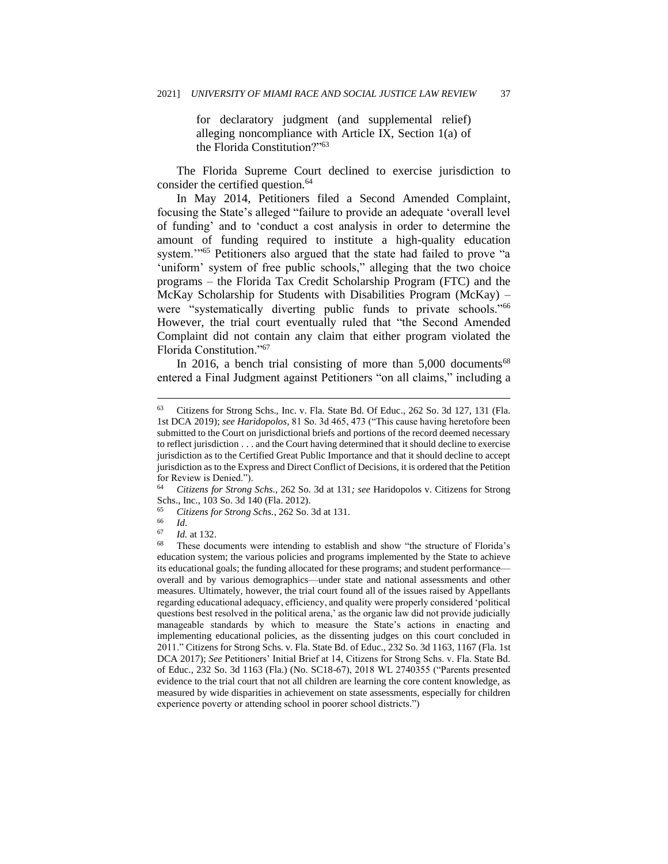for declaratory judgment (and supplemental relief) alleging noncompliance with Article IX, Section 1(a) of the Florida Constitution?"<sup>63</sup>

The Florida Supreme Court declined to exercise jurisdiction to consider the certified question.<sup>64</sup>

In May 2014, Petitioners filed a Second Amended Complaint, focusing the State's alleged "failure to provide an adequate 'overall level of funding' and to 'conduct a cost analysis in order to determine the amount of funding required to institute a high-quality education system."<sup>55</sup> Petitioners also argued that the state had failed to prove "a 'uniform' system of free public schools," alleging that the two choice programs – the Florida Tax Credit Scholarship Program (FTC) and the McKay Scholarship for Students with Disabilities Program (McKay) – were "systematically diverting public funds to private schools."<sup>66</sup> However, the trial court eventually ruled that "the Second Amended Complaint did not contain any claim that either program violated the Florida Constitution."<sup>67</sup>

In 2016, a bench trial consisting of more than  $5,000$  documents<sup>68</sup> entered a Final Judgment against Petitioners "on all claims," including a

<sup>64</sup> *Citizens for Strong Schs.*, 262 So. 3d at 131*; see* Haridopolos v. Citizens for Strong Schs., Inc., 103 So. 3d 140 (Fla. 2012).<br>
<sup>65</sup> Citizens for Strong Schs. 262 So.

<sup>63</sup> Citizens for Strong Schs., Inc. v. Fla. State Bd. Of Educ., 262 So. 3d 127, 131 (Fla. 1st DCA 2019); *see Haridopolos,* 81 So. 3d 465, 473 ("This cause having heretofore been submitted to the Court on jurisdictional briefs and portions of the record deemed necessary to reflect jurisdiction . . . and the Court having determined that it should decline to exercise jurisdiction as to the Certified Great Public Importance and that it should decline to accept jurisdiction as to the Express and Direct Conflict of Decisions, it is ordered that the Petition for Review is Denied.").

<sup>65</sup> *Citizens for Strong Schs.*, 262 So. 3d at 131.

<sup>66</sup> *Id*.

 $\frac{67}{68}$  *Id.* at 132.

These documents were intending to establish and show "the structure of Florida's education system; the various policies and programs implemented by the State to achieve its educational goals; the funding allocated for these programs; and student performance overall and by various demographics—under state and national assessments and other measures. Ultimately, however, the trial court found all of the issues raised by Appellants regarding educational adequacy, efficiency, and quality were properly considered 'political questions best resolved in the political arena,' as the organic law did not provide judicially manageable standards by which to measure the State's actions in enacting and implementing educational policies, as the dissenting judges on this court concluded in 2011." Citizens for Strong Schs. v. Fla. State Bd. of Educ., 232 So. 3d 1163, 1167 (Fla. 1st DCA 2017); *See* Petitioners' Initial Brief at 14, Citizens for Strong Schs. v. Fla. State Bd. of Educ., 232 So. 3d 1163 (Fla.) (No. SC18-67), 2018 WL 2740355 ("Parents presented evidence to the trial court that not all children are learning the core content knowledge, as measured by wide disparities in achievement on state assessments, especially for children experience poverty or attending school in poorer school districts.")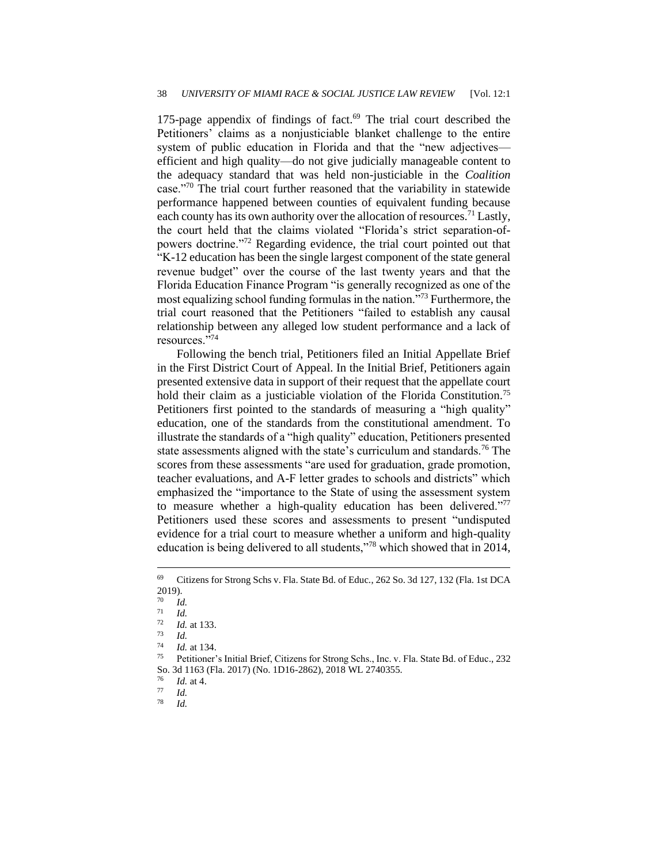175-page appendix of findings of fact. $69$  The trial court described the Petitioners' claims as a nonjusticiable blanket challenge to the entire system of public education in Florida and that the "new adjectives efficient and high quality—do not give judicially manageable content to the adequacy standard that was held non-justiciable in the *Coalition* case."<sup>70</sup> The trial court further reasoned that the variability in statewide performance happened between counties of equivalent funding because each county has its own authority over the allocation of resources.<sup>71</sup> Lastly, the court held that the claims violated "Florida's strict separation-ofpowers doctrine."<sup>72</sup> Regarding evidence, the trial court pointed out that "K-12 education has been the single largest component of the state general revenue budget" over the course of the last twenty years and that the Florida Education Finance Program "is generally recognized as one of the most equalizing school funding formulas in the nation."<sup>73</sup> Furthermore, the trial court reasoned that the Petitioners "failed to establish any causal relationship between any alleged low student performance and a lack of resources."<sup>74</sup>

Following the bench trial, Petitioners filed an Initial Appellate Brief in the First District Court of Appeal. In the Initial Brief, Petitioners again presented extensive data in support of their request that the appellate court hold their claim as a justiciable violation of the Florida Constitution.<sup>75</sup> Petitioners first pointed to the standards of measuring a "high quality" education, one of the standards from the constitutional amendment. To illustrate the standards of a "high quality" education, Petitioners presented state assessments aligned with the state's curriculum and standards.<sup>76</sup> The scores from these assessments "are used for graduation, grade promotion, teacher evaluations, and A-F letter grades to schools and districts" which emphasized the "importance to the State of using the assessment system to measure whether a high-quality education has been delivered."<sup>77</sup> Petitioners used these scores and assessments to present "undisputed evidence for a trial court to measure whether a uniform and high-quality education is being delivered to all students,"<sup>78</sup> which showed that in 2014,

 $\frac{76}{77}$  *Id.* at 4.

<sup>69</sup> Citizens for Strong Schs v. Fla. State Bd. of Educ*.*, 262 So. 3d 127, 132 (Fla. 1st DCA 2019).

 $\frac{70}{71}$  *Id.* 

 $\frac{71}{72}$  *Id.* 

 $\frac{72}{73}$  *Id.* at 133.

 $\frac{73}{74}$  *Id.* 

 $\frac{74}{75}$  *Id.* at 134.

Petitioner's Initial Brief, Citizens for Strong Schs., Inc. v. Fla. State Bd. of Educ., 232 So. 3d 1163 (Fla. 2017) (No. 1D16-2862), 2018 WL 2740355.

 $\frac{77}{78}$  *Id.* 

<sup>78</sup> *Id.*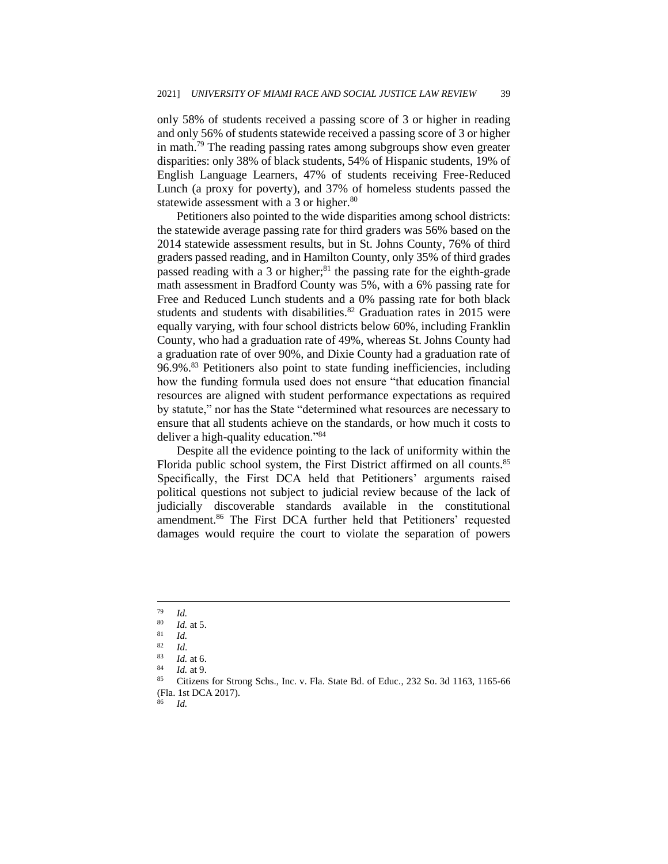only 58% of students received a passing score of 3 or higher in reading and only 56% of students statewide received a passing score of 3 or higher in math.<sup>79</sup> The reading passing rates among subgroups show even greater disparities: only 38% of black students, 54% of Hispanic students, 19% of English Language Learners, 47% of students receiving Free-Reduced Lunch (a proxy for poverty), and 37% of homeless students passed the statewide assessment with a 3 or higher.<sup>80</sup>

Petitioners also pointed to the wide disparities among school districts: the statewide average passing rate for third graders was 56% based on the 2014 statewide assessment results, but in St. Johns County, 76% of third graders passed reading, and in Hamilton County, only 35% of third grades passed reading with a 3 or higher; $81$  the passing rate for the eighth-grade math assessment in Bradford County was 5%, with a 6% passing rate for Free and Reduced Lunch students and a 0% passing rate for both black students and students with disabilities.<sup>82</sup> Graduation rates in 2015 were equally varying, with four school districts below 60%, including Franklin County, who had a graduation rate of 49%, whereas St. Johns County had a graduation rate of over 90%, and Dixie County had a graduation rate of 96.9%.<sup>83</sup> Petitioners also point to state funding inefficiencies, including how the funding formula used does not ensure "that education financial resources are aligned with student performance expectations as required by statute," nor has the State "determined what resources are necessary to ensure that all students achieve on the standards, or how much it costs to deliver a high-quality education."<sup>84</sup>

Despite all the evidence pointing to the lack of uniformity within the Florida public school system, the First District affirmed on all counts.<sup>85</sup> Specifically, the First DCA held that Petitioners' arguments raised political questions not subject to judicial review because of the lack of judicially discoverable standards available in the constitutional amendment.<sup>86</sup> The First DCA further held that Petitioners' requested damages would require the court to violate the separation of powers

<sup>86</sup> *Id.*

 $\frac{79}{80}$  *Id.* 

 $\frac{80}{81}$  *Id.* at 5.

 $\frac{81}{82}$  *Id.* 

 $\frac{82}{83}$  *Id.* 

 $\frac{83}{84}$  *Id.* at 6.

*Id.* at 9.

<sup>85</sup> Citizens for Strong Schs., Inc. v. Fla. State Bd. of Educ., 232 So. 3d 1163, 1165-66 (Fla. 1st DCA 2017).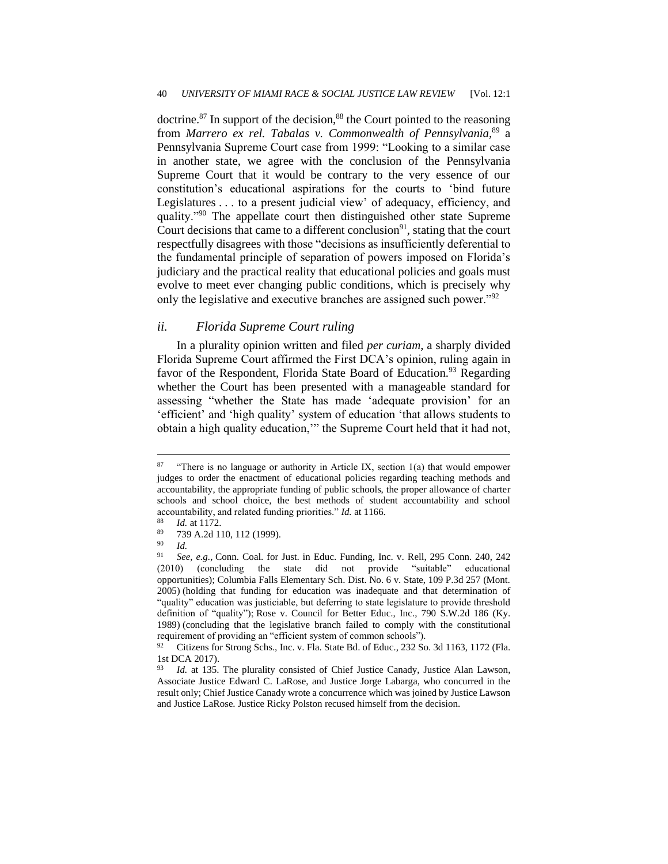doctrine. $87$  In support of the decision, $88$  the Court pointed to the reasoning from *Marrero ex rel. Tabalas v. Commonwealth of Pennsylvania,*<sup>89</sup> a Pennsylvania Supreme Court case from 1999: "Looking to a similar case in another state, we agree with the conclusion of the Pennsylvania Supreme Court that it would be contrary to the very essence of our constitution's educational aspirations for the courts to 'bind future Legislatures . . . to a present judicial view' of adequacy, efficiency, and quality."<sup>90</sup> The appellate court then distinguished other state Supreme Court decisions that came to a different conclusion $91$ , stating that the court respectfully disagrees with those "decisions as insufficiently deferential to the fundamental principle of separation of powers imposed on Florida's judiciary and the practical reality that educational policies and goals must evolve to meet ever changing public conditions, which is precisely why only the legislative and executive branches are assigned such power."<sup>92</sup>

#### *ii. Florida Supreme Court ruling*

In a plurality opinion written and filed *per curiam*, a sharply divided Florida Supreme Court affirmed the First DCA's opinion, ruling again in favor of the Respondent, Florida State Board of Education.<sup>93</sup> Regarding whether the Court has been presented with a manageable standard for assessing "whether the State has made 'adequate provision' for an 'efficient' and 'high quality' system of education 'that allows students to obtain a high quality education,'" the Supreme Court held that it had not,

<sup>&</sup>lt;sup>87</sup> "There is no language or authority in Article IX, section 1(a) that would empower judges to order the enactment of educational policies regarding teaching methods and accountability, the appropriate funding of public schools, the proper allowance of charter schools and school choice, the best methods of student accountability and school accountability, and related funding priorities." *Id.* at 1166.

 $\frac{88}{89}$  *Id.* at 1172.

 $\frac{89}{90}$  739 A.2d 110, 112 (1999).

 $\frac{90}{91}$  *Id.* 

<sup>91</sup> *See, e.g.,* Conn. Coal. for Just. in Educ. Funding, Inc. v. Rell, 295 Conn. 240, 242 (2010) (concluding the state did not provide "suitable" educational opportunities); Columbia Falls Elementary Sch. Dist. No. 6 v. State, 109 P.3d 257 (Mont. 2005) (holding that funding for education was inadequate and that determination of "quality" education was justiciable, but deferring to state legislature to provide threshold definition of "quality"); Rose v. Council for Better Educ., Inc., 790 S.W.2d 186 (Ky. 1989) (concluding that the legislative branch failed to comply with the constitutional requirement of providing an "efficient system of common schools").

<sup>92</sup> Citizens for Strong Schs., Inc. v. Fla. State Bd. of Educ*.,* 232 So. 3d 1163, 1172 (Fla. 1st DCA 2017).<br> $^{93}$  *Id.* at 135.

*Id.* at 135. The plurality consisted of Chief Justice Canady, Justice Alan Lawson, Associate Justice Edward C. LaRose, and Justice Jorge Labarga, who concurred in the result only; Chief Justice Canady wrote a concurrence which was joined by Justice Lawson and Justice LaRose. Justice Ricky Polston recused himself from the decision.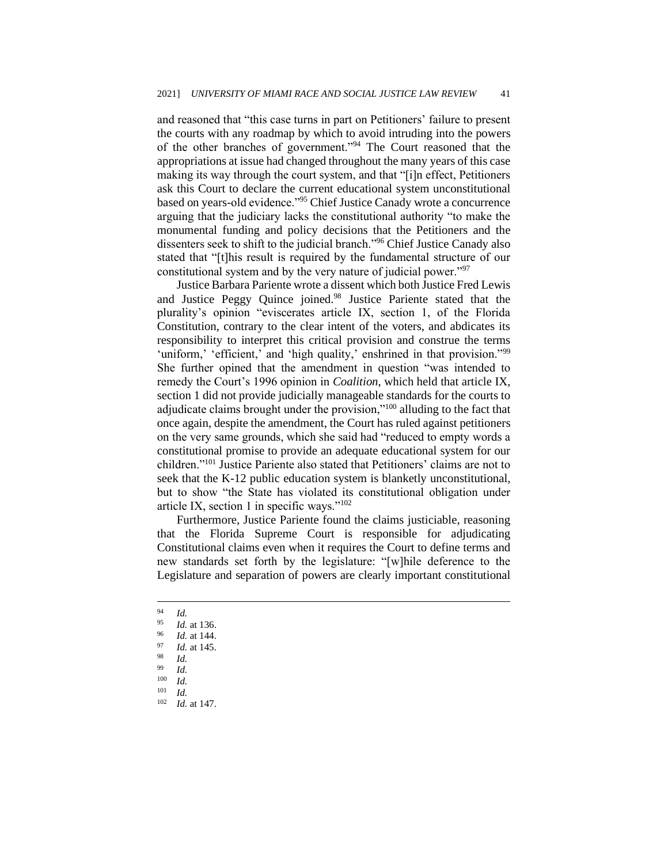and reasoned that "this case turns in part on Petitioners' failure to present the courts with any roadmap by which to avoid intruding into the powers of the other branches of government."<sup>94</sup> The Court reasoned that the appropriations at issue had changed throughout the many years of this case making its way through the court system, and that "[i]n effect, Petitioners ask this Court to declare the current educational system unconstitutional based on years-old evidence."<sup>95</sup> Chief Justice Canady wrote a concurrence arguing that the judiciary lacks the constitutional authority "to make the monumental funding and policy decisions that the Petitioners and the dissenters seek to shift to the judicial branch."<sup>96</sup> Chief Justice Canady also stated that "[t]his result is required by the fundamental structure of our constitutional system and by the very nature of judicial power."<sup>97</sup>

Justice Barbara Pariente wrote a dissent which both Justice Fred Lewis and Justice Peggy Quince joined.<sup>98</sup> Justice Pariente stated that the plurality's opinion "eviscerates article IX, section 1, of the Florida Constitution, contrary to the clear intent of the voters, and abdicates its responsibility to interpret this critical provision and construe the terms 'uniform,' 'efficient,' and 'high quality,' enshrined in that provision."<sup>99</sup> She further opined that the amendment in question "was intended to remedy the Court's 1996 opinion in *Coalition*, which held that article IX, section 1 did not provide judicially manageable standards for the courts to adjudicate claims brought under the provision,"<sup>100</sup> alluding to the fact that once again, despite the amendment, the Court has ruled against petitioners on the very same grounds, which she said had "reduced to empty words a constitutional promise to provide an adequate educational system for our children."<sup>101</sup> Justice Pariente also stated that Petitioners' claims are not to seek that the K-12 public education system is blanketly unconstitutional, but to show "the State has violated its constitutional obligation under article IX, section 1 in specific ways."<sup>102</sup>

Furthermore, Justice Pariente found the claims justiciable, reasoning that the Florida Supreme Court is responsible for adjudicating Constitutional claims even when it requires the Court to define terms and new standards set forth by the legislature: "[w]hile deference to the Legislature and separation of powers are clearly important constitutional

 $\frac{94}{95}$  *Id.* 

<sup>95</sup> *Id.* at 136.

<sup>96</sup> *Id.* at 144.

 $\frac{97}{98}$  *Id.* at 145.

<sup>98</sup> *Id.*

 $\frac{99}{100}$  *Id.* 

*Id.* 

 $\frac{101}{102}$  *Id.* 

*Id.* at 147.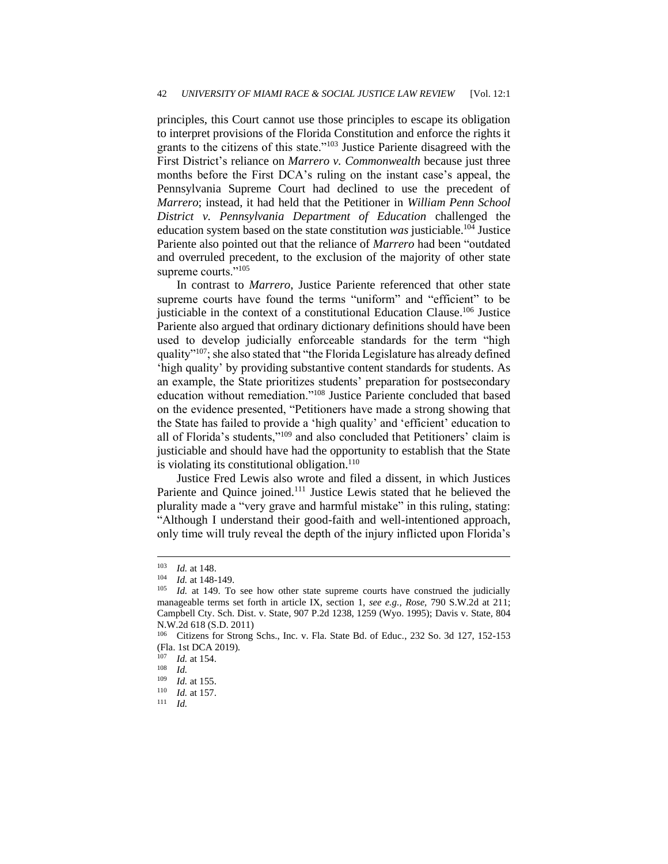principles, this Court cannot use those principles to escape its obligation to interpret provisions of the Florida Constitution and enforce the rights it grants to the citizens of this state."<sup>103</sup> Justice Pariente disagreed with the First District's reliance on *Marrero v. Commonwealth* because just three months before the First DCA's ruling on the instant case's appeal, the Pennsylvania Supreme Court had declined to use the precedent of *Marrero*; instead, it had held that the Petitioner in *William Penn School District v. Pennsylvania Department of Education* challenged the education system based on the state constitution *was* justiciable.<sup>104</sup> Justice Pariente also pointed out that the reliance of *Marrero* had been "outdated and overruled precedent, to the exclusion of the majority of other state supreme courts."<sup>105</sup>

In contrast to *Marrero*, Justice Pariente referenced that other state supreme courts have found the terms "uniform" and "efficient" to be justiciable in the context of a constitutional Education Clause.<sup>106</sup> Justice Pariente also argued that ordinary dictionary definitions should have been used to develop judicially enforceable standards for the term "high quality"<sup>107</sup>; she also stated that "the Florida Legislature has already defined 'high quality' by providing substantive content standards for students. As an example, the State prioritizes students' preparation for postsecondary education without remediation."<sup>108</sup> Justice Pariente concluded that based on the evidence presented, "Petitioners have made a strong showing that the State has failed to provide a 'high quality' and 'efficient' education to all of Florida's students,"<sup>109</sup> and also concluded that Petitioners' claim is justiciable and should have had the opportunity to establish that the State is violating its constitutional obligation.<sup>110</sup>

Justice Fred Lewis also wrote and filed a dissent, in which Justices Pariente and Quince joined.<sup>111</sup> Justice Lewis stated that he believed the plurality made a "very grave and harmful mistake" in this ruling, stating: "Although I understand their good-faith and well-intentioned approach, only time will truly reveal the depth of the injury inflicted upon Florida's

 $\frac{103}{104}$  *Id.* at 148.

*Id.* at 148-149.

<sup>105</sup> *Id.* at 149. To see how other state supreme courts have construed the judicially manageable terms set forth in article IX, section 1, *see e.g., Rose,* 790 S.W.2d at 211; Campbell Cty. Sch. Dist. v. State*,* 907 P.2d 1238, 1259 (Wyo. 1995); Davis v. State*,* 804 N.W.2d 618 (S.D. 2011)

<sup>106</sup> Citizens for Strong Schs., Inc. v. Fla. State Bd. of Educ*.*, 232 So. 3d 127, 152-153 (Fla. 1st DCA 2019).

 $\frac{107}{108}$  *Id.* at 154.

 $\frac{108}{109}$  *Id.* 

*Id.* at 155.

<sup>110</sup> *Id.* at 157.

<sup>111</sup> *Id.*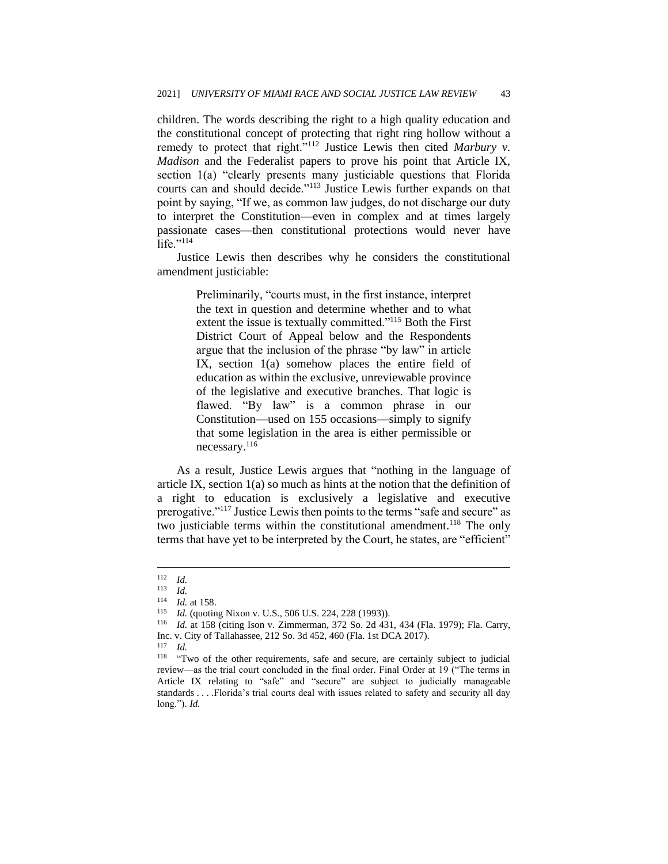children. The words describing the right to a high quality education and the constitutional concept of protecting that right ring hollow without a remedy to protect that right."<sup>112</sup> Justice Lewis then cited *Marbury v. Madison* and the Federalist papers to prove his point that Article IX, section 1(a) "clearly presents many justiciable questions that Florida courts can and should decide."<sup>113</sup> Justice Lewis further expands on that point by saying, "If we, as common law judges, do not discharge our duty to interpret the Constitution—even in complex and at times largely passionate cases—then constitutional protections would never have life. $"$ <sup>114</sup>

Justice Lewis then describes why he considers the constitutional amendment justiciable:

> Preliminarily, "courts must, in the first instance, interpret the text in question and determine whether and to what extent the issue is textually committed."<sup>115</sup> Both the First District Court of Appeal below and the Respondents argue that the inclusion of the phrase "by law" in article IX, section 1(a) somehow places the entire field of education as within the exclusive, unreviewable province of the legislative and executive branches. That logic is flawed. "By law" is a common phrase in our Constitution—used on 155 occasions—simply to signify that some legislation in the area is either permissible or necessary.<sup>116</sup>

As a result, Justice Lewis argues that "nothing in the language of article IX, section 1(a) so much as hints at the notion that the definition of a right to education is exclusively a legislative and executive prerogative."<sup>117</sup> Justice Lewis then points to the terms "safe and secure" as two justiciable terms within the constitutional amendment.<sup>118</sup> The only terms that have yet to be interpreted by the Court, he states, are "efficient"

<sup>116</sup> *Id.* at 158 (citing Ison v. Zimmerman, 372 So. 2d 431, 434 (Fla. 1979); Fla. Carry,

 $\frac{112}{113}$  *Id.* 

*Id.* 

<sup>114</sup> *Id.* at 158.

<sup>115</sup> *Id.* (quoting Nixon v. U.S., 506 U.S. 224, 228 (1993)).

Inc. v. City of Tallahassee, 212 So. 3d 452, 460 (Fla. 1st DCA 2017).

<sup>117</sup> *Id.*

<sup>&</sup>lt;sup>118</sup> "Two of the other requirements, safe and secure, are certainly subject to judicial review—as the trial court concluded in the final order. Final Order at 19 ("The terms in Article IX relating to "safe" and "secure" are subject to judicially manageable standards . . . .Florida's trial courts deal with issues related to safety and security all day long."). *Id.*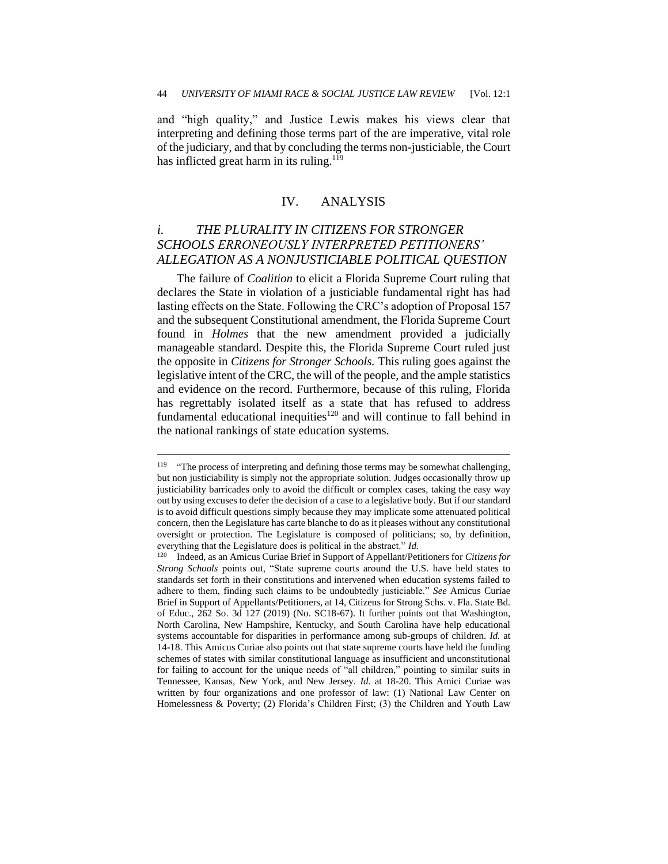and "high quality," and Justice Lewis makes his views clear that interpreting and defining those terms part of the are imperative, vital role of the judiciary, and that by concluding the terms non-justiciable, the Court has inflicted great harm in its ruling.<sup>119</sup>

#### IV. ANALYSIS

## *i. THE PLURALITY IN CITIZENS FOR STRONGER SCHOOLS ERRONEOUSLY INTERPRETED PETITIONERS' ALLEGATION AS A NONJUSTICIABLE POLITICAL QUESTION*

The failure of *Coalition* to elicit a Florida Supreme Court ruling that declares the State in violation of a justiciable fundamental right has had lasting effects on the State. Following the CRC's adoption of Proposal 157 and the subsequent Constitutional amendment, the Florida Supreme Court found in *Holmes* that the new amendment provided a judicially manageable standard. Despite this, the Florida Supreme Court ruled just the opposite in *Citizens for Stronger Schools.* This ruling goes against the legislative intent of the CRC, the will of the people, and the ample statistics and evidence on the record. Furthermore, because of this ruling, Florida has regrettably isolated itself as a state that has refused to address fundamental educational inequities<sup>120</sup> and will continue to fall behind in the national rankings of state education systems.

<sup>119</sup> "The process of interpreting and defining those terms may be somewhat challenging, but non justiciability is simply not the appropriate solution. Judges occasionally throw up justiciability barricades only to avoid the difficult or complex cases, taking the easy way out by using excuses to defer the decision of a case to a legislative body. But if our standard is to avoid difficult questions simply because they may implicate some attenuated political concern, then the Legislature has carte blanche to do as it pleases without any constitutional oversight or protection. The Legislature is composed of politicians; so, by definition, everything that the Legislature does is political in the abstract." *Id.*

<sup>120</sup> Indeed, as an Amicus Curiae Brief in Support of Appellant/Petitioners for *Citizens for Strong Schools* points out, "State supreme courts around the U.S. have held states to standards set forth in their constitutions and intervened when education systems failed to adhere to them, finding such claims to be undoubtedly justiciable." *See* Amicus Curiae Brief in Support of Appellants/Petitioners, at 14, Citizens for Strong Schs. v. Fla. State Bd. of Educ., 262 So. 3d 127 (2019) (No. SC18-67). It further points out that Washington, North Carolina, New Hampshire, Kentucky, and South Carolina have help educational systems accountable for disparities in performance among sub-groups of children. *Id.* at 14-18. This Amicus Curiae also points out that state supreme courts have held the funding schemes of states with similar constitutional language as insufficient and unconstitutional for failing to account for the unique needs of "all children," pointing to similar suits in Tennessee, Kansas, New York, and New Jersey. *Id.* at 18-20. This Amici Curiae was written by four organizations and one professor of law: (1) National Law Center on Homelessness & Poverty; (2) Florida's Children First; (3) the Children and Youth Law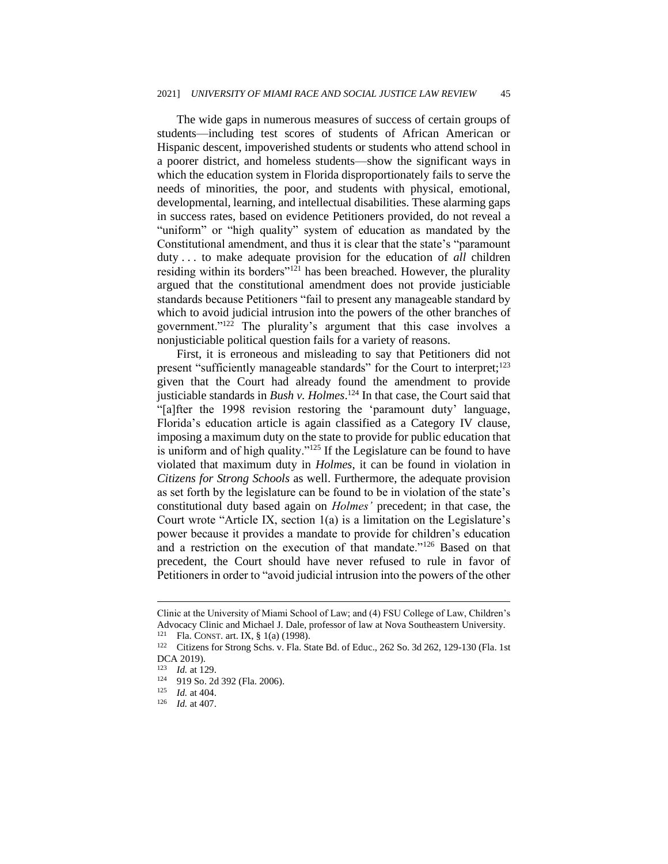The wide gaps in numerous measures of success of certain groups of students—including test scores of students of African American or Hispanic descent, impoverished students or students who attend school in a poorer district, and homeless students—show the significant ways in which the education system in Florida disproportionately fails to serve the needs of minorities, the poor, and students with physical, emotional, developmental, learning, and intellectual disabilities. These alarming gaps in success rates, based on evidence Petitioners provided, do not reveal a "uniform" or "high quality" system of education as mandated by the Constitutional amendment, and thus it is clear that the state's "paramount duty . . . to make adequate provision for the education of *all* children residing within its borders"<sup>121</sup> has been breached. However, the plurality argued that the constitutional amendment does not provide justiciable standards because Petitioners "fail to present any manageable standard by which to avoid judicial intrusion into the powers of the other branches of government."<sup>122</sup> The plurality's argument that this case involves a nonjusticiable political question fails for a variety of reasons.

First, it is erroneous and misleading to say that Petitioners did not present "sufficiently manageable standards" for the Court to interpret;<sup>123</sup> given that the Court had already found the amendment to provide justiciable standards in *Bush v. Holmes*. <sup>124</sup> In that case, the Court said that "[a]fter the 1998 revision restoring the 'paramount duty' language, Florida's education article is again classified as a Category IV clause, imposing a maximum duty on the state to provide for public education that is uniform and of high quality."<sup>125</sup> If the Legislature can be found to have violated that maximum duty in *Holmes*, it can be found in violation in *Citizens for Strong Schools* as well. Furthermore, the adequate provision as set forth by the legislature can be found to be in violation of the state's constitutional duty based again on *Holmes'* precedent; in that case, the Court wrote "Article IX, section 1(a) is a limitation on the Legislature's power because it provides a mandate to provide for children's education and a restriction on the execution of that mandate."<sup>126</sup> Based on that precedent, the Court should have never refused to rule in favor of Petitioners in order to "avoid judicial intrusion into the powers of the other

Clinic at the University of Miami School of Law; and (4) FSU College of Law, Children's Advocacy Clinic and Michael J. Dale, professor of law at Nova Southeastern University. <sup>121</sup> Fla. CONST. art. IX,  $\S 1(a)$  (1998).<br><sup>122</sup> Citizens for Strong Schs. v. Fla. St

Citizens for Strong Schs. v. Fla. State Bd. of Educ., 262 So. 3d 262, 129-130 (Fla. 1st DCA 2019).

 $\frac{123}{124}$  *Id.* at 129.

<sup>124</sup> 919 So. 2d 392 (Fla. 2006).

 $\frac{125}{126}$  *Id.* at 404.

*Id.* at 407.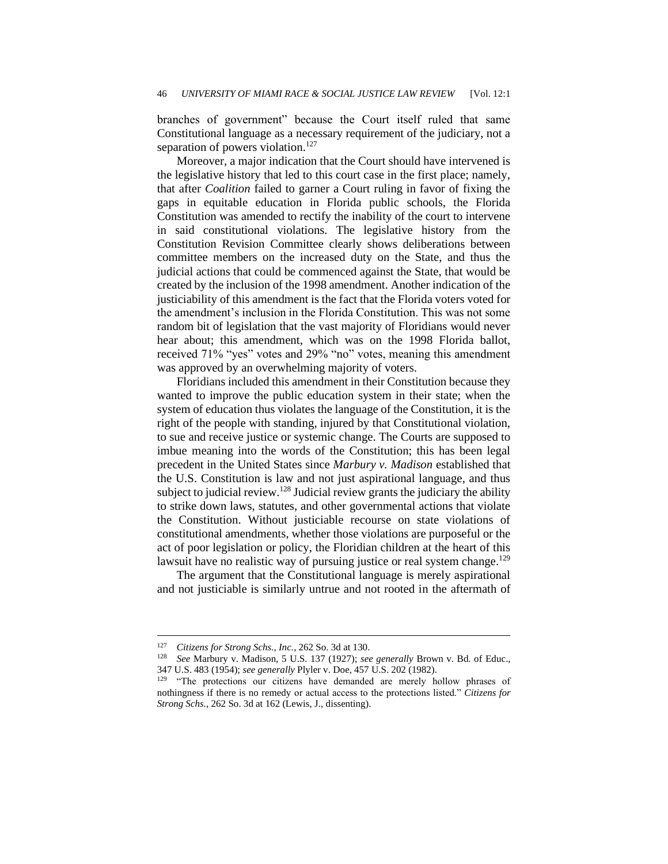branches of government" because the Court itself ruled that same Constitutional language as a necessary requirement of the judiciary, not a separation of powers violation.<sup>127</sup>

Moreover, a major indication that the Court should have intervened is the legislative history that led to this court case in the first place; namely, that after *Coalition* failed to garner a Court ruling in favor of fixing the gaps in equitable education in Florida public schools, the Florida Constitution was amended to rectify the inability of the court to intervene in said constitutional violations. The legislative history from the Constitution Revision Committee clearly shows deliberations between committee members on the increased duty on the State, and thus the judicial actions that could be commenced against the State, that would be created by the inclusion of the 1998 amendment. Another indication of the justiciability of this amendment is the fact that the Florida voters voted for the amendment's inclusion in the Florida Constitution. This was not some random bit of legislation that the vast majority of Floridians would never hear about; this amendment, which was on the 1998 Florida ballot, received 71% "yes" votes and 29% "no" votes, meaning this amendment was approved by an overwhelming majority of voters.

Floridians included this amendment in their Constitution because they wanted to improve the public education system in their state; when the system of education thus violates the language of the Constitution, it is the right of the people with standing, injured by that Constitutional violation, to sue and receive justice or systemic change. The Courts are supposed to imbue meaning into the words of the Constitution; this has been legal precedent in the United States since *Marbury v. Madison* established that the U.S. Constitution is law and not just aspirational language, and thus subject to judicial review.<sup>128</sup> Judicial review grants the judiciary the ability to strike down laws, statutes, and other governmental actions that violate the Constitution. Without justiciable recourse on state violations of constitutional amendments, whether those violations are purposeful or the act of poor legislation or policy, the Floridian children at the heart of this lawsuit have no realistic way of pursuing justice or real system change.<sup>129</sup>

The argument that the Constitutional language is merely aspirational and not justiciable is similarly untrue and not rooted in the aftermath of

<sup>127</sup> *Citizens for Strong Schs., Inc.*, 262 So. 3d at 130.

<sup>128</sup> *See* Marbury v. Madison, 5 U.S. 137 (1927); *see generally* Brown v. Bd. of Educ., 347 U.S. 483 (1954); *see generally* Plyler v. Doe, 457 U.S. 202 (1982).

<sup>&</sup>lt;sup>129</sup> "The protections our citizens have demanded are merely hollow phrases of nothingness if there is no remedy or actual access to the protections listed." *Citizens for Strong Schs.*, 262 So. 3d at 162 (Lewis, J., dissenting).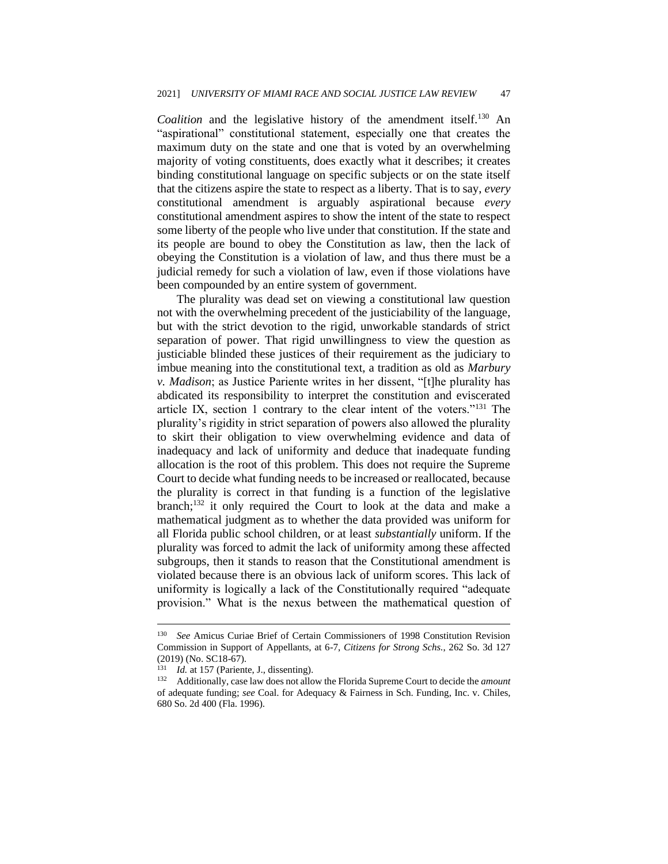Coalition and the legislative history of the amendment itself.<sup>130</sup> An "aspirational" constitutional statement, especially one that creates the maximum duty on the state and one that is voted by an overwhelming majority of voting constituents, does exactly what it describes; it creates binding constitutional language on specific subjects or on the state itself that the citizens aspire the state to respect as a liberty. That is to say, *every* constitutional amendment is arguably aspirational because *every* constitutional amendment aspires to show the intent of the state to respect some liberty of the people who live under that constitution. If the state and its people are bound to obey the Constitution as law, then the lack of obeying the Constitution is a violation of law, and thus there must be a judicial remedy for such a violation of law, even if those violations have been compounded by an entire system of government.

The plurality was dead set on viewing a constitutional law question not with the overwhelming precedent of the justiciability of the language, but with the strict devotion to the rigid, unworkable standards of strict separation of power. That rigid unwillingness to view the question as justiciable blinded these justices of their requirement as the judiciary to imbue meaning into the constitutional text, a tradition as old as *Marbury v. Madison*; as Justice Pariente writes in her dissent, "[t]he plurality has abdicated its responsibility to interpret the constitution and eviscerated article IX, section 1 contrary to the clear intent of the voters."<sup>131</sup> The plurality's rigidity in strict separation of powers also allowed the plurality to skirt their obligation to view overwhelming evidence and data of inadequacy and lack of uniformity and deduce that inadequate funding allocation is the root of this problem. This does not require the Supreme Court to decide what funding needs to be increased or reallocated, because the plurality is correct in that funding is a function of the legislative branch;<sup>132</sup> it only required the Court to look at the data and make a mathematical judgment as to whether the data provided was uniform for all Florida public school children, or at least *substantially* uniform. If the plurality was forced to admit the lack of uniformity among these affected subgroups, then it stands to reason that the Constitutional amendment is violated because there is an obvious lack of uniform scores. This lack of uniformity is logically a lack of the Constitutionally required "adequate provision." What is the nexus between the mathematical question of

<sup>130</sup> *See* Amicus Curiae Brief of Certain Commissioners of 1998 Constitution Revision Commission in Support of Appellants, at 6-7, *Citizens for Strong Schs.*, 262 So. 3d 127 (2019) (No. SC18-67).

<sup>&</sup>lt;sup>131</sup> *Id.* at 157 (Pariente, J., dissenting).<br><sup>132</sup> Additionally, case law does not allo

<sup>132</sup> Additionally, case law does not allow the Florida Supreme Court to decide the *amount* of adequate funding; *see* Coal. for Adequacy & Fairness in Sch. Funding, Inc. v. Chiles, 680 So. 2d 400 (Fla. 1996).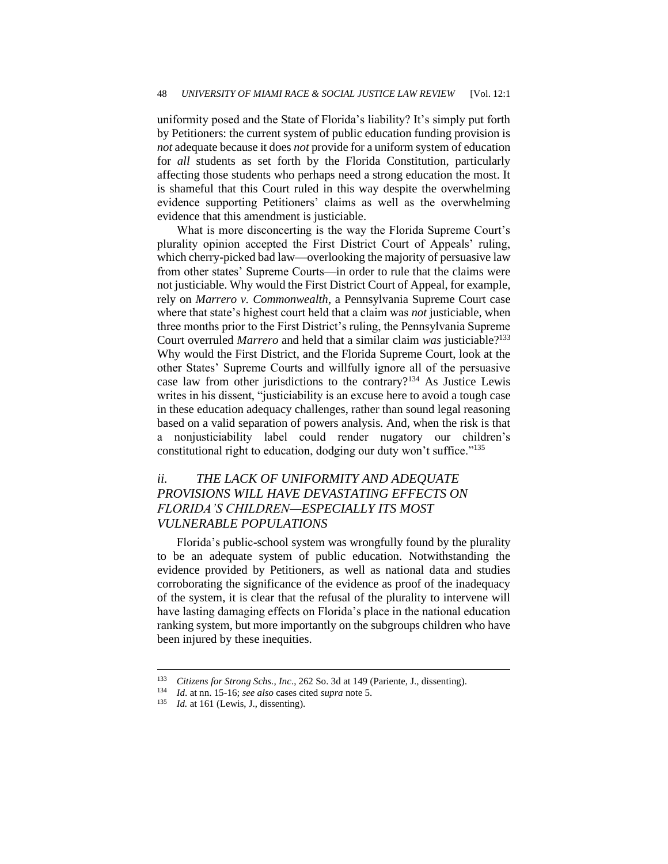uniformity posed and the State of Florida's liability? It's simply put forth by Petitioners: the current system of public education funding provision is *not* adequate because it does *not* provide for a uniform system of education for *all* students as set forth by the Florida Constitution, particularly affecting those students who perhaps need a strong education the most. It is shameful that this Court ruled in this way despite the overwhelming evidence supporting Petitioners' claims as well as the overwhelming evidence that this amendment is justiciable.

What is more disconcerting is the way the Florida Supreme Court's plurality opinion accepted the First District Court of Appeals' ruling, which cherry-picked bad law—overlooking the majority of persuasive law from other states' Supreme Courts—in order to rule that the claims were not justiciable. Why would the First District Court of Appeal, for example, rely on *Marrero v. Commonwealth*, a Pennsylvania Supreme Court case where that state's highest court held that a claim was *not* justiciable, when three months prior to the First District's ruling, the Pennsylvania Supreme Court overruled *Marrero* and held that a similar claim *was* justiciable?<sup>133</sup> Why would the First District, and the Florida Supreme Court, look at the other States' Supreme Courts and willfully ignore all of the persuasive case law from other jurisdictions to the contrary?<sup>134</sup> As Justice Lewis writes in his dissent, "justiciability is an excuse here to avoid a tough case in these education adequacy challenges, rather than sound legal reasoning based on a valid separation of powers analysis. And, when the risk is that a nonjusticiability label could render nugatory our children's constitutional right to education, dodging our duty won't suffice."<sup>135</sup>

## *ii. THE LACK OF UNIFORMITY AND ADEQUATE PROVISIONS WILL HAVE DEVASTATING EFFECTS ON FLORIDA'S CHILDREN—ESPECIALLY ITS MOST VULNERABLE POPULATIONS*

Florida's public-school system was wrongfully found by the plurality to be an adequate system of public education. Notwithstanding the evidence provided by Petitioners, as well as national data and studies corroborating the significance of the evidence as proof of the inadequacy of the system, it is clear that the refusal of the plurality to intervene will have lasting damaging effects on Florida's place in the national education ranking system, but more importantly on the subgroups children who have been injured by these inequities.

<sup>133</sup> *Citizens for Strong Schs., Inc*., 262 So. 3d at 149 (Pariente, J., dissenting).

<sup>134</sup> *Id*. at nn. 15-16; *see also* cases cited *supra* note 5.

Id. at 161 (Lewis, J., dissenting).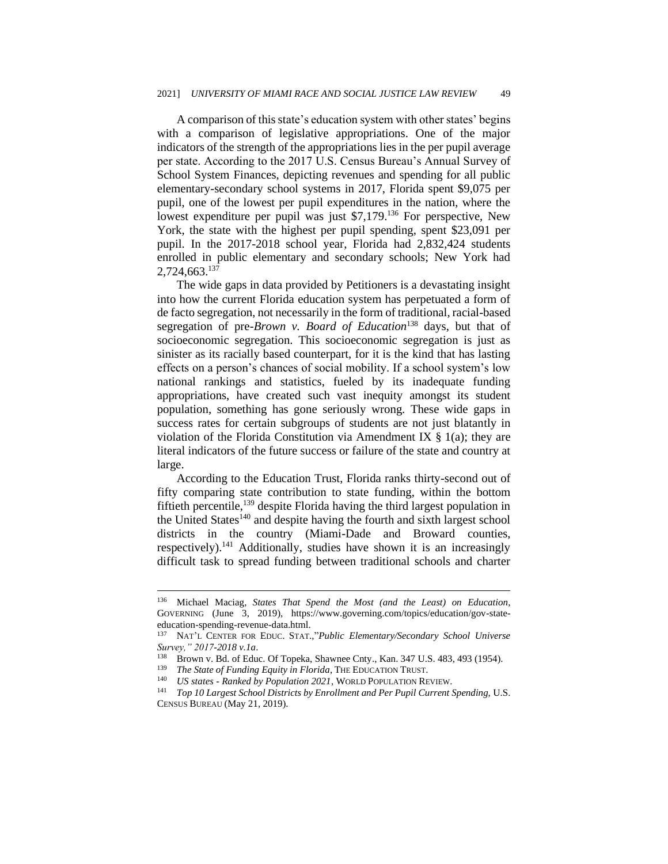A comparison of this state's education system with other states' begins with a comparison of legislative appropriations. One of the major indicators of the strength of the appropriations lies in the per pupil average per state. According to the 2017 U.S. Census Bureau's Annual Survey of School System Finances, depicting revenues and spending for all public elementary-secondary school systems in 2017, Florida spent \$9,075 per pupil, one of the lowest per pupil expenditures in the nation, where the lowest expenditure per pupil was just \$7,179.<sup>136</sup> For perspective, New York, the state with the highest per pupil spending, spent \$23,091 per pupil. In the 2017-2018 school year, Florida had 2,832,424 students enrolled in public elementary and secondary schools; New York had 2,724,663.<sup>137</sup>

The wide gaps in data provided by Petitioners is a devastating insight into how the current Florida education system has perpetuated a form of de facto segregation, not necessarily in the form of traditional, racial-based segregation of pre-*Brown v. Board of Education*<sup>138</sup> days, but that of socioeconomic segregation. This socioeconomic segregation is just as sinister as its racially based counterpart, for it is the kind that has lasting effects on a person's chances of social mobility. If a school system's low national rankings and statistics, fueled by its inadequate funding appropriations, have created such vast inequity amongst its student population, something has gone seriously wrong. These wide gaps in success rates for certain subgroups of students are not just blatantly in violation of the Florida Constitution via Amendment IX  $\S$  1(a); they are literal indicators of the future success or failure of the state and country at large.

According to the Education Trust, Florida ranks thirty-second out of fifty comparing state contribution to state funding, within the bottom fiftieth percentile,  $^{139}$  despite Florida having the third largest population in the United States<sup>140</sup> and despite having the fourth and sixth largest school districts in the country (Miami-Dade and Broward counties, respectively).<sup>141</sup> Additionally, studies have shown it is an increasingly difficult task to spread funding between traditional schools and charter

<sup>136</sup> Michael Maciag, *States That Spend the Most (and the Least) on Education*, GOVERNING (June 3, 2019), https://www.governing.com/topics/education/gov-stateeducation-spending-revenue-data.html.

<sup>137</sup> NAT'L CENTER FOR EDUC. STAT.,"*Public Elementary/Secondary School Universe Survey," 2017-2018 v.1a*.

<sup>&</sup>lt;sup>138</sup> Brown v. Bd. of Educ. Of Topeka, Shawnee Cnty., Kan. 347 U.S. 483, 493 (1954).<br><sup>139</sup> The State of Eurdine Equity in Elorida. The EDUCATION TRUST.

<sup>&</sup>lt;sup>139</sup> *The State of Funding Equity in Florida*, THE EDUCATION TRUST.<br><sup>140</sup> *IIS states - Ranked by Population 2021* WORLD POPULATION RE

<sup>140</sup> *US states - Ranked by Population 2021*, WORLD POPULATION REVIEW.

<sup>141</sup> *Top 10 Largest School Districts by Enrollment and Per Pupil Current Spending,* U.S. CENSUS BUREAU (May 21, 2019).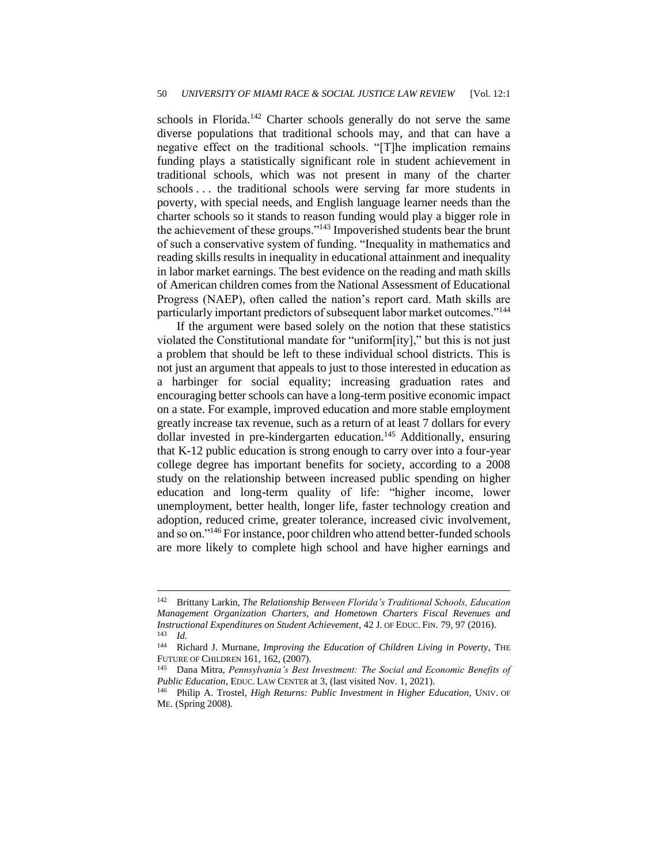schools in Florida.<sup>142</sup> Charter schools generally do not serve the same diverse populations that traditional schools may, and that can have a negative effect on the traditional schools. "[T]he implication remains funding plays a statistically significant role in student achievement in traditional schools, which was not present in many of the charter schools . . . the traditional schools were serving far more students in poverty, with special needs, and English language learner needs than the charter schools so it stands to reason funding would play a bigger role in the achievement of these groups."<sup>143</sup> Impoverished students bear the brunt of such a conservative system of funding. "Inequality in mathematics and reading skills results in inequality in educational attainment and inequality in labor market earnings. The best evidence on the reading and math skills of American children comes from the National Assessment of Educational Progress (NAEP), often called the nation's report card. Math skills are particularly important predictors of subsequent labor market outcomes."<sup>144</sup>

If the argument were based solely on the notion that these statistics violated the Constitutional mandate for "uniform[ity]," but this is not just a problem that should be left to these individual school districts. This is not just an argument that appeals to just to those interested in education as a harbinger for social equality; increasing graduation rates and encouraging better schools can have a long-term positive economic impact on a state. For example, improved education and more stable employment greatly increase tax revenue, such as a return of at least 7 dollars for every dollar invested in pre-kindergarten education.<sup>145</sup> Additionally, ensuring that K-12 public education is strong enough to carry over into a four-year college degree has important benefits for society, according to a 2008 study on the relationship between increased public spending on higher education and long-term quality of life: "higher income, lower unemployment, better health, longer life, faster technology creation and adoption, reduced crime, greater tolerance, increased civic involvement, and so on."<sup>146</sup> For instance, poor children who attend better-funded schools are more likely to complete high school and have higher earnings and

<sup>142</sup> Brittany Larkin, *The Relationship Between Florida's Traditional Schools, Education Management Organization Charters, and Hometown Charters Fiscal Revenues and Instructional Expenditures on Student Achievement*, 42 J. OF EDUC. FIN. 79, 97 (2016).  $\frac{143}{144}$  *Id.* 

Richard J. Murnane, *Improving the Education of Children Living in Poverty*, THE FUTURE OF CHILDREN 161, 162, (2007).

<sup>145</sup> Dana Mitra, *Pennsylvania's Best Investment: The Social and Economic Benefits of Public Education*, EDUC. LAW CENTER at 3, (last visited Nov. 1, 2021).

<sup>146</sup> Philip A. Trostel, *High Returns: Public Investment in Higher Education*, UNIV. OF ME. (Spring 2008).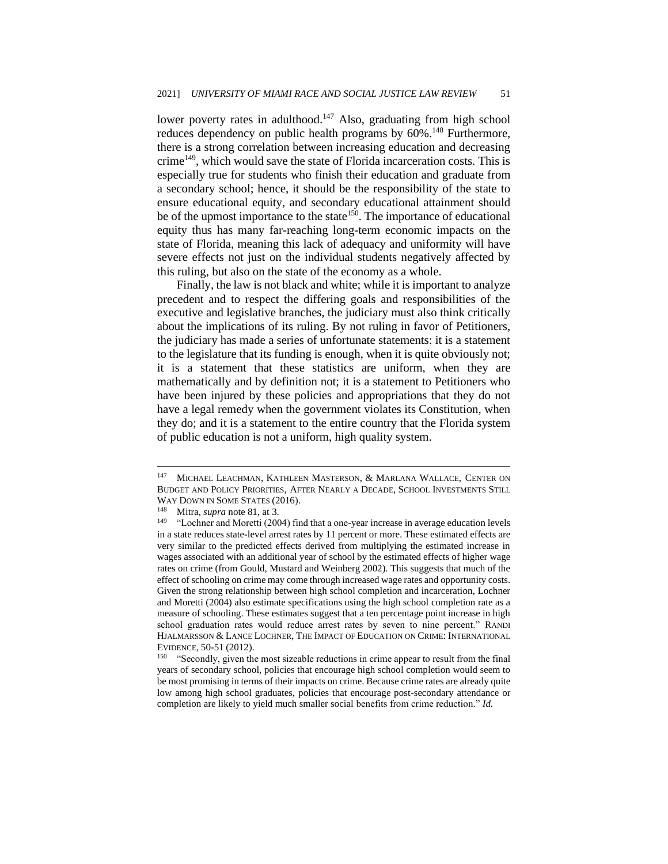lower poverty rates in adulthood.<sup>147</sup> Also, graduating from high school reduces dependency on public health programs by  $60\%$ .<sup>148</sup> Furthermore, there is a strong correlation between increasing education and decreasing crime<sup>149</sup>, which would save the state of Florida incarceration costs. This is especially true for students who finish their education and graduate from a secondary school; hence, it should be the responsibility of the state to ensure educational equity, and secondary educational attainment should be of the upmost importance to the state<sup>150</sup>. The importance of educational equity thus has many far-reaching long-term economic impacts on the state of Florida, meaning this lack of adequacy and uniformity will have severe effects not just on the individual students negatively affected by this ruling, but also on the state of the economy as a whole.

Finally, the law is not black and white; while it is important to analyze precedent and to respect the differing goals and responsibilities of the executive and legislative branches, the judiciary must also think critically about the implications of its ruling. By not ruling in favor of Petitioners, the judiciary has made a series of unfortunate statements: it is a statement to the legislature that its funding is enough, when it is quite obviously not; it is a statement that these statistics are uniform, when they are mathematically and by definition not; it is a statement to Petitioners who have been injured by these policies and appropriations that they do not have a legal remedy when the government violates its Constitution, when they do; and it is a statement to the entire country that the Florida system of public education is not a uniform, high quality system.

<sup>&</sup>lt;sup>147</sup> MICHAEL LEACHMAN, KATHLEEN MASTERSON, & MARLANA WALLACE, CENTER ON BUDGET AND POLICY PRIORITIES, AFTER NEARLY A DECADE, SCHOOL INVESTMENTS STILL WAY DOWN IN SOME STATES  $(2016)$ .<br><sup>148</sup> Mitro sunga pote 81 at 3

<sup>&</sup>lt;sup>148</sup> Mitra, *supra* note 81, at 3.<br><sup>149</sup>  $\cdot$  Cohner and Moretti (200

<sup>&</sup>quot;Lochner and Moretti (2004) find that a one-year increase in average education levels in a state reduces state-level arrest rates by 11 percent or more. These estimated effects are very similar to the predicted effects derived from multiplying the estimated increase in wages associated with an additional year of school by the estimated effects of higher wage rates on crime (from Gould, Mustard and Weinberg 2002). This suggests that much of the effect of schooling on crime may come through increased wage rates and opportunity costs. Given the strong relationship between high school completion and incarceration, Lochner and Moretti (2004) also estimate specifications using the high school completion rate as a measure of schooling. These estimates suggest that a ten percentage point increase in high school graduation rates would reduce arrest rates by seven to nine percent." RANDI HJALMARSSON & LANCE LOCHNER, THE IMPACT OF EDUCATION ON CRIME: INTERNATIONAL EVIDENCE, 50-51 (2012).

<sup>&</sup>lt;sup>150</sup> "Secondly, given the most sizeable reductions in crime appear to result from the final years of secondary school, policies that encourage high school completion would seem to be most promising in terms of their impacts on crime. Because crime rates are already quite low among high school graduates, policies that encourage post-secondary attendance or completion are likely to yield much smaller social benefits from crime reduction." *Id.*